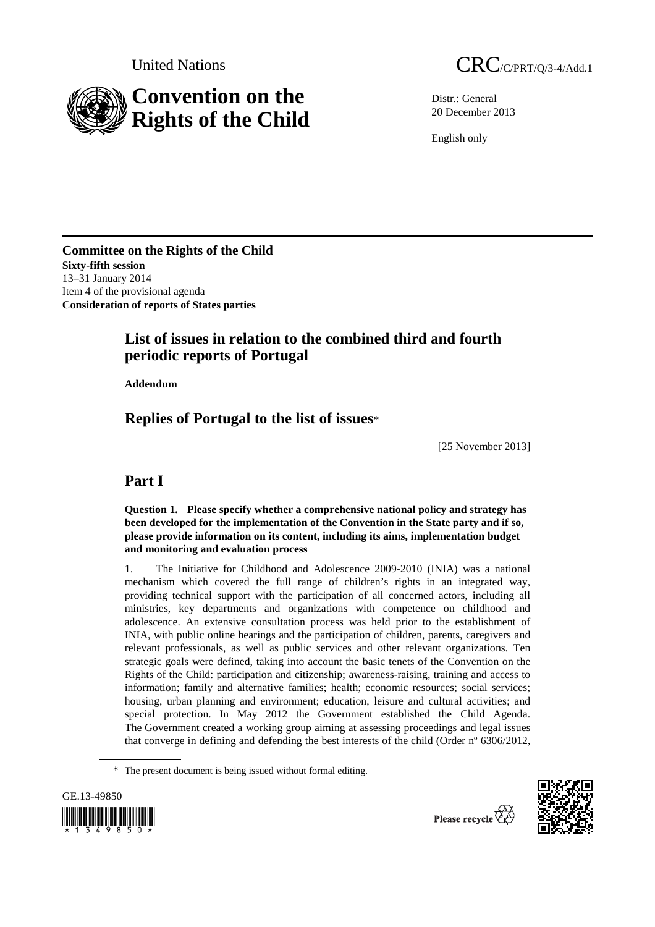

United Nations CRC/C/PRT/O/3-4/Add.1

Distr.: General 20 December 2013

English only

**Committee on the Rights of the Child Sixty-fifth session**  13–31 January 2014 Item 4 of the provisional agenda **Consideration of reports of States parties** 

# **List of issues in relation to the combined third and fourth periodic reports of Portugal**

 **Addendum** 

# **Replies of Portugal to the list of issues**\*

[25 November 2013]

# **Part I**

 **Question 1. Please specify whether a comprehensive national policy and strategy has been developed for the implementation of the Convention in the State party and if so, please provide information on its content, including its aims, implementation budget and monitoring and evaluation process** 

1. The Initiative for Childhood and Adolescence 2009-2010 (INIA) was a national mechanism which covered the full range of children's rights in an integrated way, providing technical support with the participation of all concerned actors, including all ministries, key departments and organizations with competence on childhood and adolescence. An extensive consultation process was held prior to the establishment of INIA, with public online hearings and the participation of children, parents, caregivers and relevant professionals, as well as public services and other relevant organizations. Ten strategic goals were defined, taking into account the basic tenets of the Convention on the Rights of the Child: participation and citizenship; awareness-raising, training and access to information; family and alternative families; health; economic resources; social services; housing, urban planning and environment; education, leisure and cultural activities; and special protection. In May 2012 the Government established the Child Agenda. The Government created a working group aiming at assessing proceedings and legal issues that converge in defining and defending the best interests of the child (Order nº 6306/2012,

<sup>\*</sup> The present document is being issued without formal editing.



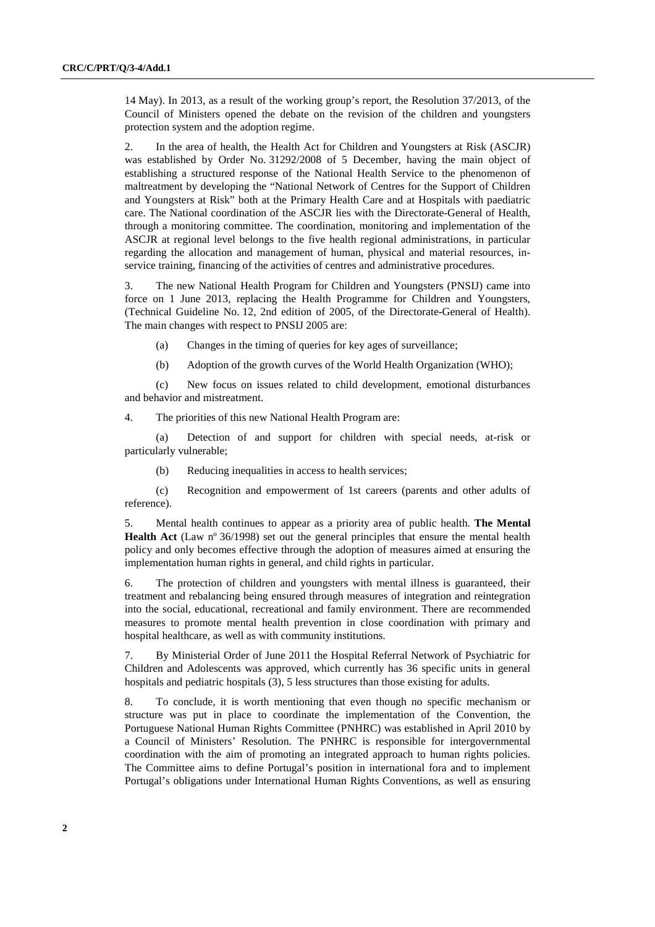14 May). In 2013, as a result of the working group's report, the Resolution 37/2013, of the Council of Ministers opened the debate on the revision of the children and youngsters protection system and the adoption regime.

2. In the area of health, the Health Act for Children and Youngsters at Risk (ASCJR) was established by Order No. 31292/2008 of 5 December, having the main object of establishing a structured response of the National Health Service to the phenomenon of maltreatment by developing the "National Network of Centres for the Support of Children and Youngsters at Risk" both at the Primary Health Care and at Hospitals with paediatric care. The National coordination of the ASCJR lies with the Directorate-General of Health, through a monitoring committee. The coordination, monitoring and implementation of the ASCJR at regional level belongs to the five health regional administrations, in particular regarding the allocation and management of human, physical and material resources, inservice training, financing of the activities of centres and administrative procedures.

3. The new National Health Program for Children and Youngsters (PNSIJ) came into force on 1 June 2013, replacing the Health Programme for Children and Youngsters, (Technical Guideline No. 12, 2nd edition of 2005, of the Directorate-General of Health). The main changes with respect to PNSIJ 2005 are:

(a) Changes in the timing of queries for key ages of surveillance;

(b) Adoption of the growth curves of the World Health Organization (WHO);

(c) New focus on issues related to child development, emotional disturbances and behavior and mistreatment.

4. The priorities of this new National Health Program are:

(a) Detection of and support for children with special needs, at-risk or particularly vulnerable;

(b) Reducing inequalities in access to health services;

(c) Recognition and empowerment of 1st careers (parents and other adults of reference).

5. Mental health continues to appear as a priority area of public health. **The Mental Health Act** (Law nº 36/1998) set out the general principles that ensure the mental health policy and only becomes effective through the adoption of measures aimed at ensuring the implementation human rights in general, and child rights in particular.

6. The protection of children and youngsters with mental illness is guaranteed, their treatment and rebalancing being ensured through measures of integration and reintegration into the social, educational, recreational and family environment. There are recommended measures to promote mental health prevention in close coordination with primary and hospital healthcare, as well as with community institutions.

7. By Ministerial Order of June 2011 the Hospital Referral Network of Psychiatric for Children and Adolescents was approved, which currently has 36 specific units in general hospitals and pediatric hospitals (3), 5 less structures than those existing for adults.

8. To conclude, it is worth mentioning that even though no specific mechanism or structure was put in place to coordinate the implementation of the Convention, the Portuguese National Human Rights Committee (PNHRC) was established in April 2010 by a Council of Ministers' Resolution. The PNHRC is responsible for intergovernmental coordination with the aim of promoting an integrated approach to human rights policies. The Committee aims to define Portugal's position in international fora and to implement Portugal's obligations under International Human Rights Conventions, as well as ensuring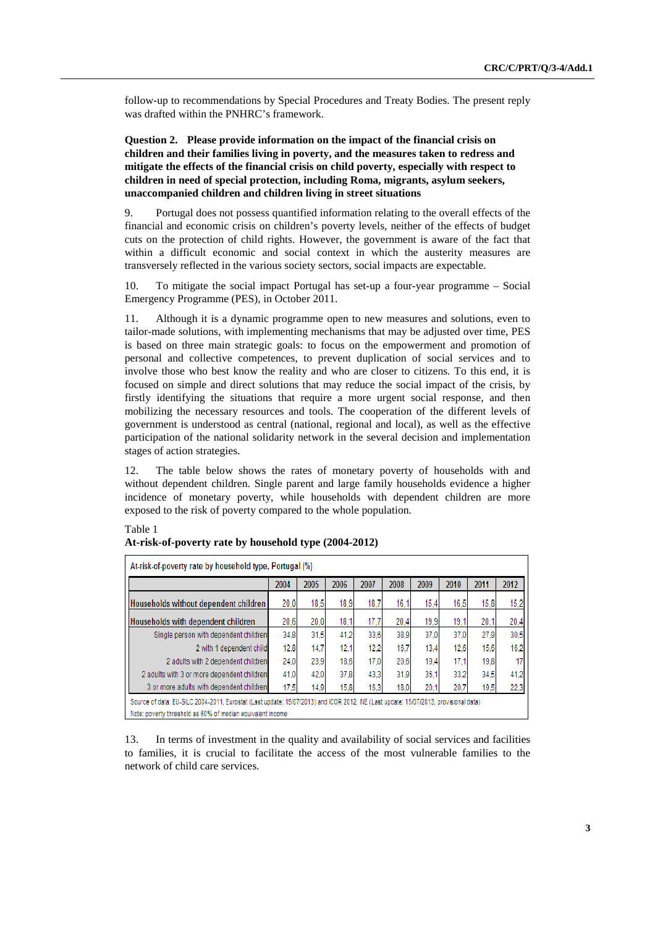follow-up to recommendations by Special Procedures and Treaty Bodies. The present reply was drafted within the PNHRC's framework.

 **Question 2. Please provide information on the impact of the financial crisis on children and their families living in poverty, and the measures taken to redress and mitigate the effects of the financial crisis on child poverty, especially with respect to children in need of special protection, including Roma, migrants, asylum seekers, unaccompanied children and children living in street situations** 

9. Portugal does not possess quantified information relating to the overall effects of the financial and economic crisis on children's poverty levels, neither of the effects of budget cuts on the protection of child rights. However, the government is aware of the fact that within a difficult economic and social context in which the austerity measures are transversely reflected in the various society sectors, social impacts are expectable.

10. To mitigate the social impact Portugal has set-up a four-year programme – Social Emergency Programme (PES), in October 2011.

11. Although it is a dynamic programme open to new measures and solutions, even to tailor-made solutions, with implementing mechanisms that may be adjusted over time, PES is based on three main strategic goals: to focus on the empowerment and promotion of personal and collective competences, to prevent duplication of social services and to involve those who best know the reality and who are closer to citizens. To this end, it is focused on simple and direct solutions that may reduce the social impact of the crisis, by firstly identifying the situations that require a more urgent social response, and then mobilizing the necessary resources and tools. The cooperation of the different levels of government is understood as central (national, regional and local), as well as the effective participation of the national solidarity network in the several decision and implementation stages of action strategies.

12. The table below shows the rates of monetary poverty of households with and without dependent children. Single parent and large family households evidence a higher incidence of monetary poverty, while households with dependent children are more exposed to the risk of poverty compared to the whole population.

|                                            | 2004 | 2005 | 2006 | 2007 | 2008 | 2009 | 2010 | 2011 | 2012 |
|--------------------------------------------|------|------|------|------|------|------|------|------|------|
| Households without dependent children      | 20.0 | 18.5 | 18.9 | 18.7 | 16.1 | 15.4 | 16.5 | 15.8 | 15,2 |
| Households with dependent children         | 20.6 | 20.0 | 18.1 | 17.7 | 20.4 | 19.9 | 19.1 | 20.1 | 20,4 |
| Single person with dependent children      | 34,8 | 31.5 | 41.2 | 33.6 | 38.9 | 37.0 | 37.0 | 27.9 | 30.5 |
| 2 with 1 dependent child                   | 12.8 | 14.7 | 12.1 | 12.2 | 16.7 | 13.4 | 12,6 | 15,6 | 16,2 |
| 2 adults with 2 dependent children         | 24.0 | 23,9 | 18.6 | 17.0 | 20.6 | 19.4 | 17,1 | 19,8 | 17   |
| 2 adults with 3 or more dependent children | 41.0 | 42.0 | 37.8 | 43.3 | 31.9 | 36.1 | 33.2 | 34.5 | 41,2 |
| 3 or more adults with dependent children   | 17,5 | 14,9 | 15.8 | 16.3 | 18.0 | 20.1 | 20.7 | 19,5 | 22,3 |

#### Table 1 **At-risk-of-poverty rate by household type (2004-2012)**

13. In terms of investment in the quality and availability of social services and facilities to families, it is crucial to facilitate the access of the most vulnerable families to the network of child care services.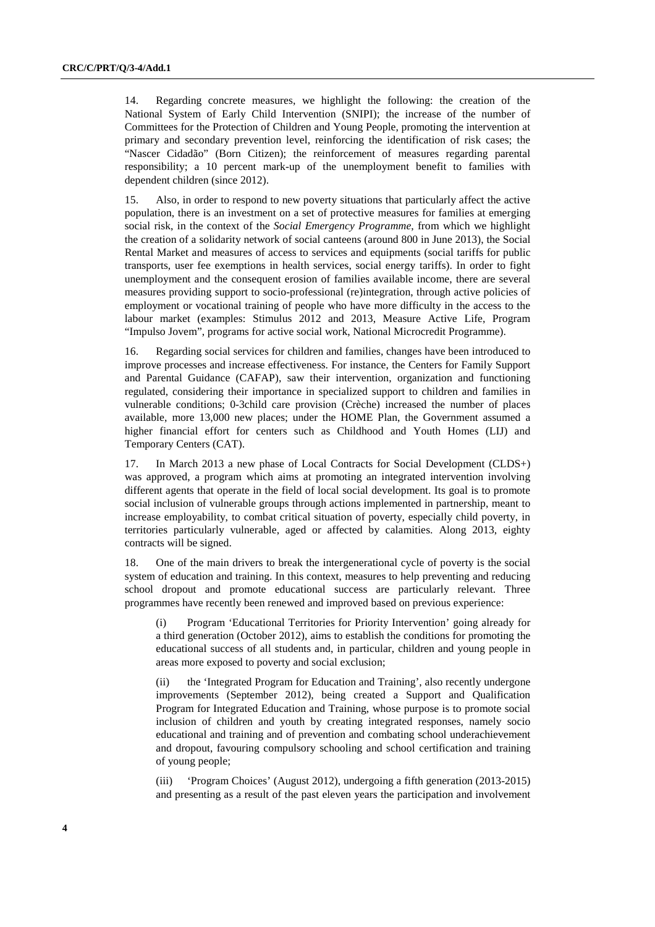14. Regarding concrete measures, we highlight the following: the creation of the National System of Early Child Intervention (SNIPI); the increase of the number of Committees for the Protection of Children and Young People, promoting the intervention at primary and secondary prevention level, reinforcing the identification of risk cases; the "Nascer Cidadão" (Born Citizen); the reinforcement of measures regarding parental responsibility; a 10 percent mark-up of the unemployment benefit to families with dependent children (since 2012).

15. Also, in order to respond to new poverty situations that particularly affect the active population, there is an investment on a set of protective measures for families at emerging social risk, in the context of the *Social Emergency Programme*, from which we highlight the creation of a solidarity network of social canteens (around 800 in June 2013), the Social Rental Market and measures of access to services and equipments (social tariffs for public transports, user fee exemptions in health services, social energy tariffs). In order to fight unemployment and the consequent erosion of families available income, there are several measures providing support to socio-professional (re)integration, through active policies of employment or vocational training of people who have more difficulty in the access to the labour market (examples: Stimulus 2012 and 2013, Measure Active Life, Program "Impulso Jovem", programs for active social work, National Microcredit Programme).

16. Regarding social services for children and families, changes have been introduced to improve processes and increase effectiveness. For instance, the Centers for Family Support and Parental Guidance (CAFAP), saw their intervention, organization and functioning regulated, considering their importance in specialized support to children and families in vulnerable conditions; 0-3child care provision (Crèche) increased the number of places available, more 13,000 new places; under the HOME Plan, the Government assumed a higher financial effort for centers such as Childhood and Youth Homes (LIJ) and Temporary Centers (CAT).

17. In March 2013 a new phase of Local Contracts for Social Development (CLDS+) was approved, a program which aims at promoting an integrated intervention involving different agents that operate in the field of local social development. Its goal is to promote social inclusion of vulnerable groups through actions implemented in partnership, meant to increase employability, to combat critical situation of poverty, especially child poverty, in territories particularly vulnerable, aged or affected by calamities. Along 2013, eighty contracts will be signed.

18. One of the main drivers to break the intergenerational cycle of poverty is the social system of education and training. In this context, measures to help preventing and reducing school dropout and promote educational success are particularly relevant. Three programmes have recently been renewed and improved based on previous experience:

(i) Program 'Educational Territories for Priority Intervention' going already for a third generation (October 2012), aims to establish the conditions for promoting the educational success of all students and, in particular, children and young people in areas more exposed to poverty and social exclusion;

the 'Integrated Program for Education and Training', also recently undergone improvements (September 2012), being created a Support and Qualification Program for Integrated Education and Training, whose purpose is to promote social inclusion of children and youth by creating integrated responses, namely socio educational and training and of prevention and combating school underachievement and dropout, favouring compulsory schooling and school certification and training of young people;

(iii) 'Program Choices' (August 2012), undergoing a fifth generation (2013-2015) and presenting as a result of the past eleven years the participation and involvement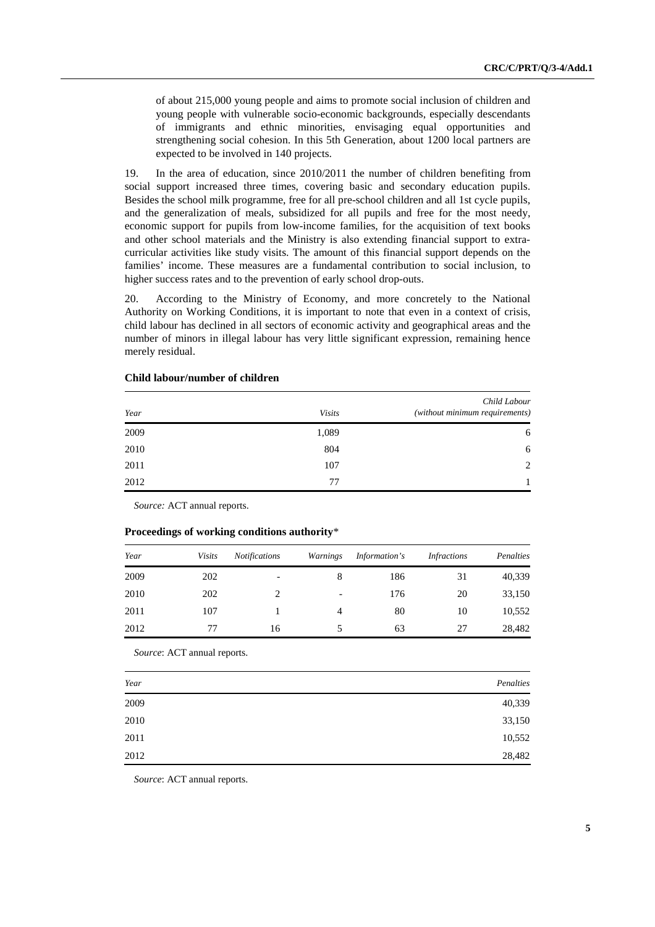of about 215,000 young people and aims to promote social inclusion of children and young people with vulnerable socio-economic backgrounds, especially descendants of immigrants and ethnic minorities, envisaging equal opportunities and strengthening social cohesion. In this 5th Generation, about 1200 local partners are expected to be involved in 140 projects.

19. In the area of education, since 2010/2011 the number of children benefiting from social support increased three times, covering basic and secondary education pupils. Besides the school milk programme, free for all pre-school children and all 1st cycle pupils, and the generalization of meals, subsidized for all pupils and free for the most needy, economic support for pupils from low-income families, for the acquisition of text books and other school materials and the Ministry is also extending financial support to extracurricular activities like study visits. The amount of this financial support depends on the families' income. These measures are a fundamental contribution to social inclusion, to higher success rates and to the prevention of early school drop-outs.

20. According to the Ministry of Economy, and more concretely to the National Authority on Working Conditions, it is important to note that even in a context of crisis, child labour has declined in all sectors of economic activity and geographical areas and the number of minors in illegal labour has very little significant expression, remaining hence merely residual.

| Year | <b>Visits</b> | Child Labour<br>(without minimum requirements) |
|------|---------------|------------------------------------------------|
| 2009 | 1,089         | 6                                              |
| 2010 | 804           | 6                                              |
| 2011 | 107           | 2                                              |
| 2012 | 77            | 1                                              |

#### **Child labour/number of children**

*Source:* ACT annual reports.

#### **Proceedings of working conditions authority**\*

| Year | <b>Visits</b> | <b>Notifications</b>     | Warnings | Information's | <i>Infractions</i> | Penalties |
|------|---------------|--------------------------|----------|---------------|--------------------|-----------|
| 2009 | 202           | $\overline{\phantom{0}}$ | 8        | 186           | 31                 | 40,339    |
| 2010 | 202           | C                        | -        | 176           | 20                 | 33,150    |
| 2011 | 107           |                          | 4        | 80            | 10                 | 10,552    |
| 2012 | 77            | 16                       |          | 63            | 27                 | 28,482    |

*Source*: ACT annual reports.

| Year | Penalties |
|------|-----------|
| 2009 | 40,339    |
| 2010 | 33,150    |
| 2011 | 10,552    |
| 2012 | 28,482    |

*Source*: ACT annual reports.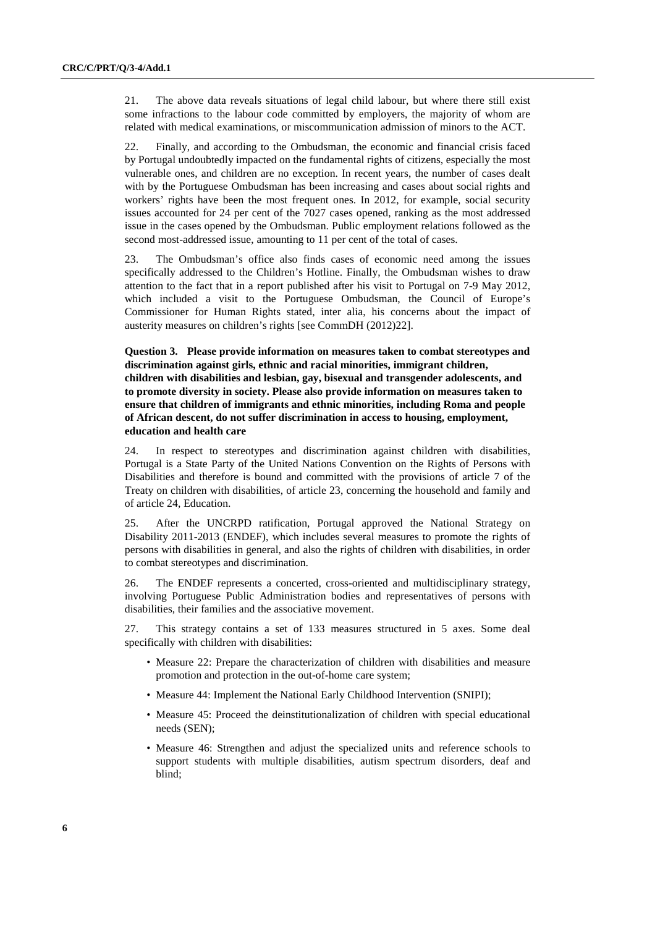21. The above data reveals situations of legal child labour, but where there still exist some infractions to the labour code committed by employers, the majority of whom are related with medical examinations, or miscommunication admission of minors to the ACT.

22. Finally, and according to the Ombudsman, the economic and financial crisis faced by Portugal undoubtedly impacted on the fundamental rights of citizens, especially the most vulnerable ones, and children are no exception. In recent years, the number of cases dealt with by the Portuguese Ombudsman has been increasing and cases about social rights and workers' rights have been the most frequent ones. In 2012, for example, social security issues accounted for 24 per cent of the 7027 cases opened, ranking as the most addressed issue in the cases opened by the Ombudsman. Public employment relations followed as the second most-addressed issue, amounting to 11 per cent of the total of cases.

23. The Ombudsman's office also finds cases of economic need among the issues specifically addressed to the Children's Hotline. Finally, the Ombudsman wishes to draw attention to the fact that in a report published after his visit to Portugal on 7-9 May 2012, which included a visit to the Portuguese Ombudsman, the Council of Europe's Commissioner for Human Rights stated, inter alia, his concerns about the impact of austerity measures on children's rights [see CommDH (2012)22].

 **Question 3. Please provide information on measures taken to combat stereotypes and discrimination against girls, ethnic and racial minorities, immigrant children, children with disabilities and lesbian, gay, bisexual and transgender adolescents, and to promote diversity in society. Please also provide information on measures taken to ensure that children of immigrants and ethnic minorities, including Roma and people of African descent, do not suffer discrimination in access to housing, employment, education and health care** 

24. In respect to stereotypes and discrimination against children with disabilities, Portugal is a State Party of the United Nations Convention on the Rights of Persons with Disabilities and therefore is bound and committed with the provisions of article 7 of the Treaty on children with disabilities, of article 23, concerning the household and family and of article 24, Education.

25. After the UNCRPD ratification, Portugal approved the National Strategy on Disability 2011-2013 (ENDEF), which includes several measures to promote the rights of persons with disabilities in general, and also the rights of children with disabilities, in order to combat stereotypes and discrimination.

26. The ENDEF represents a concerted, cross-oriented and multidisciplinary strategy, involving Portuguese Public Administration bodies and representatives of persons with disabilities, their families and the associative movement.

27. This strategy contains a set of 133 measures structured in 5 axes. Some deal specifically with children with disabilities:

- Measure 22: Prepare the characterization of children with disabilities and measure promotion and protection in the out-of-home care system;
- Measure 44: Implement the National Early Childhood Intervention (SNIPI);
- Measure 45: Proceed the deinstitutionalization of children with special educational needs (SEN);
- Measure 46: Strengthen and adjust the specialized units and reference schools to support students with multiple disabilities, autism spectrum disorders, deaf and blind;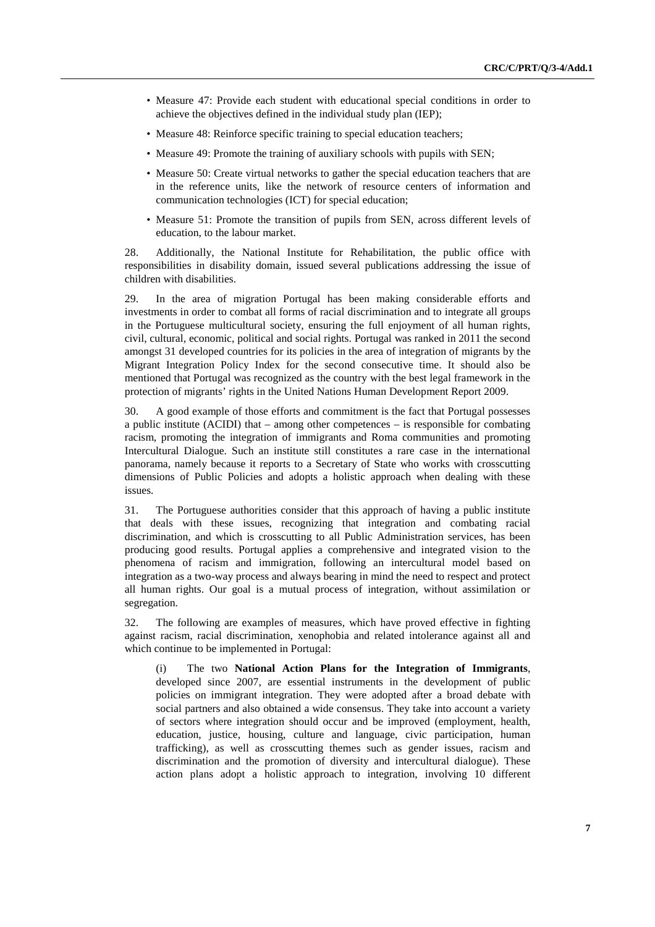- Measure 47: Provide each student with educational special conditions in order to achieve the objectives defined in the individual study plan (IEP);
- Measure 48: Reinforce specific training to special education teachers;
- Measure 49: Promote the training of auxiliary schools with pupils with SEN;
- Measure 50: Create virtual networks to gather the special education teachers that are in the reference units, like the network of resource centers of information and communication technologies (ICT) for special education;
- Measure 51: Promote the transition of pupils from SEN, across different levels of education, to the labour market.

28. Additionally, the National Institute for Rehabilitation, the public office with responsibilities in disability domain, issued several publications addressing the issue of children with disabilities.

29. In the area of migration Portugal has been making considerable efforts and investments in order to combat all forms of racial discrimination and to integrate all groups in the Portuguese multicultural society, ensuring the full enjoyment of all human rights, civil, cultural, economic, political and social rights. Portugal was ranked in 2011 the second amongst 31 developed countries for its policies in the area of integration of migrants by the Migrant Integration Policy Index for the second consecutive time. It should also be mentioned that Portugal was recognized as the country with the best legal framework in the protection of migrants' rights in the United Nations Human Development Report 2009.

30. A good example of those efforts and commitment is the fact that Portugal possesses a public institute (ACIDI) that – among other competences – is responsible for combating racism, promoting the integration of immigrants and Roma communities and promoting Intercultural Dialogue. Such an institute still constitutes a rare case in the international panorama, namely because it reports to a Secretary of State who works with crosscutting dimensions of Public Policies and adopts a holistic approach when dealing with these issues.

31. The Portuguese authorities consider that this approach of having a public institute that deals with these issues, recognizing that integration and combating racial discrimination, and which is crosscutting to all Public Administration services, has been producing good results. Portugal applies a comprehensive and integrated vision to the phenomena of racism and immigration, following an intercultural model based on integration as a two-way process and always bearing in mind the need to respect and protect all human rights. Our goal is a mutual process of integration, without assimilation or segregation.

32. The following are examples of measures, which have proved effective in fighting against racism, racial discrimination, xenophobia and related intolerance against all and which continue to be implemented in Portugal:

(i) The two **National Action Plans for the Integration of Immigrants**, developed since 2007, are essential instruments in the development of public policies on immigrant integration. They were adopted after a broad debate with social partners and also obtained a wide consensus. They take into account a variety of sectors where integration should occur and be improved (employment, health, education, justice, housing, culture and language, civic participation, human trafficking), as well as crosscutting themes such as gender issues, racism and discrimination and the promotion of diversity and intercultural dialogue). These action plans adopt a holistic approach to integration, involving 10 different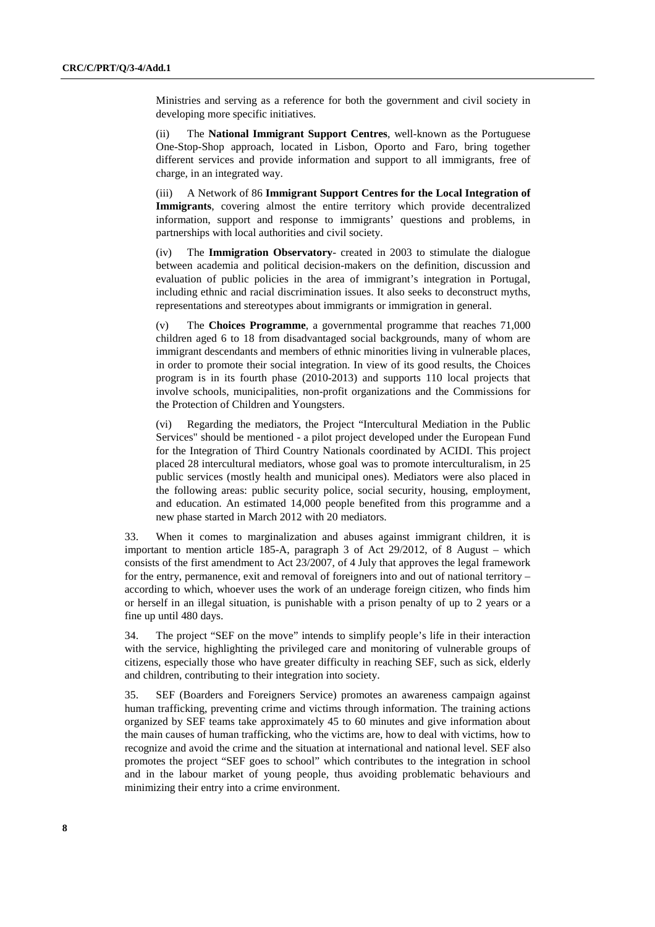Ministries and serving as a reference for both the government and civil society in developing more specific initiatives.

(ii) The **National Immigrant Support Centres**, well-known as the Portuguese One-Stop-Shop approach, located in Lisbon, Oporto and Faro, bring together different services and provide information and support to all immigrants, free of charge, in an integrated way.

(iii) A Network of 86 **Immigrant Support Centres for the Local Integration of Immigrants**, covering almost the entire territory which provide decentralized information, support and response to immigrants' questions and problems, in partnerships with local authorities and civil society.

(iv) The **Immigration Observatory**- created in 2003 to stimulate the dialogue between academia and political decision-makers on the definition, discussion and evaluation of public policies in the area of immigrant's integration in Portugal, including ethnic and racial discrimination issues. It also seeks to deconstruct myths, representations and stereotypes about immigrants or immigration in general.

(v) The **Choices Programme**, a governmental programme that reaches 71,000 children aged 6 to 18 from disadvantaged social backgrounds, many of whom are immigrant descendants and members of ethnic minorities living in vulnerable places, in order to promote their social integration. In view of its good results, the Choices program is in its fourth phase (2010-2013) and supports 110 local projects that involve schools, municipalities, non-profit organizations and the Commissions for the Protection of Children and Youngsters.

(vi) Regarding the mediators, the Project "Intercultural Mediation in the Public Services" should be mentioned - a pilot project developed under the European Fund for the Integration of Third Country Nationals coordinated by ACIDI. This project placed 28 intercultural mediators, whose goal was to promote interculturalism, in 25 public services (mostly health and municipal ones). Mediators were also placed in the following areas: public security police, social security, housing, employment, and education. An estimated 14,000 people benefited from this programme and a new phase started in March 2012 with 20 mediators.

33. When it comes to marginalization and abuses against immigrant children, it is important to mention article 185-A, paragraph 3 of Act 29/2012, of 8 August – which consists of the first amendment to Act 23/2007, of 4 July that approves the legal framework for the entry, permanence, exit and removal of foreigners into and out of national territory – according to which, whoever uses the work of an underage foreign citizen, who finds him or herself in an illegal situation, is punishable with a prison penalty of up to 2 years or a fine up until 480 days.

34. The project "SEF on the move" intends to simplify people's life in their interaction with the service, highlighting the privileged care and monitoring of vulnerable groups of citizens, especially those who have greater difficulty in reaching SEF, such as sick, elderly and children, contributing to their integration into society.

35. SEF (Boarders and Foreigners Service) promotes an awareness campaign against human trafficking, preventing crime and victims through information. The training actions organized by SEF teams take approximately 45 to 60 minutes and give information about the main causes of human trafficking, who the victims are, how to deal with victims, how to recognize and avoid the crime and the situation at international and national level. SEF also promotes the project "SEF goes to school" which contributes to the integration in school and in the labour market of young people, thus avoiding problematic behaviours and minimizing their entry into a crime environment.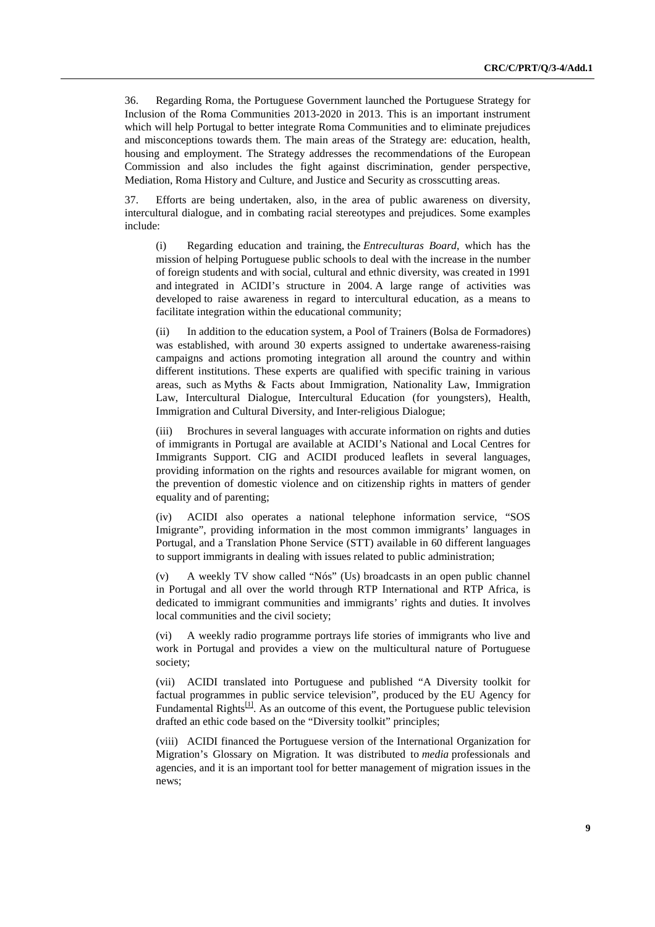36. Regarding Roma, the Portuguese Government launched the Portuguese Strategy for Inclusion of the Roma Communities 2013-2020 in 2013. This is an important instrument which will help Portugal to better integrate Roma Communities and to eliminate prejudices and misconceptions towards them. The main areas of the Strategy are: education, health, housing and employment. The Strategy addresses the recommendations of the European Commission and also includes the fight against discrimination, gender perspective, Mediation, Roma History and Culture, and Justice and Security as crosscutting areas.

37. Efforts are being undertaken, also, in the area of public awareness on diversity, intercultural dialogue, and in combating racial stereotypes and prejudices. Some examples include:

(i) Regarding education and training, the *Entreculturas Board*, which has the mission of helping Portuguese public schools to deal with the increase in the number of foreign students and with social, cultural and ethnic diversity, was created in 1991 and integrated in ACIDI's structure in 2004. A large range of activities was developed to raise awareness in regard to intercultural education, as a means to facilitate integration within the educational community;

(ii) In addition to the education system, a Pool of Trainers (Bolsa de Formadores) was established, with around 30 experts assigned to undertake awareness-raising campaigns and actions promoting integration all around the country and within different institutions. These experts are qualified with specific training in various areas, such as Myths & Facts about Immigration, Nationality Law, Immigration Law, Intercultural Dialogue, Intercultural Education (for youngsters), Health, Immigration and Cultural Diversity, and Inter-religious Dialogue;

(iii) Brochures in several languages with accurate information on rights and duties of immigrants in Portugal are available at ACIDI's National and Local Centres for Immigrants Support. CIG and ACIDI produced leaflets in several languages, providing information on the rights and resources available for migrant women, on the prevention of domestic violence and on citizenship rights in matters of gender equality and of parenting;

(iv) ACIDI also operates a national telephone information service, "SOS Imigrante", providing information in the most common immigrants' languages in Portugal, and a Translation Phone Service (STT) available in 60 different languages to support immigrants in dealing with issues related to public administration;

(v) A weekly TV show called "Nós" (Us) broadcasts in an open public channel in Portugal and all over the world through RTP International and RTP Africa, is dedicated to immigrant communities and immigrants' rights and duties. It involves local communities and the civil society;

(vi) A weekly radio programme portrays life stories of immigrants who live and work in Portugal and provides a view on the multicultural nature of Portuguese society;

(vii) ACIDI translated into Portuguese and published "A Diversity toolkit for factual programmes in public service television", produced by the EU Agency for Fundamental Rights $[1]$ . As an outcome of this event, the Portuguese public television drafted an ethic code based on the "Diversity toolkit" principles;

(viii) ACIDI financed the Portuguese version of the International Organization for Migration's Glossary on Migration. It was distributed to *media* professionals and agencies, and it is an important tool for better management of migration issues in the news;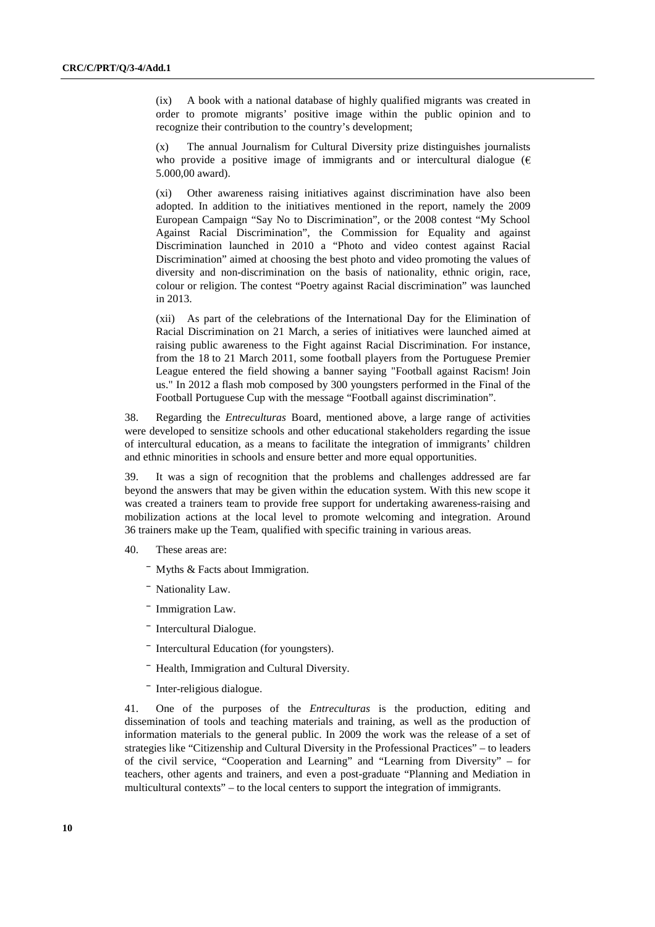(ix) A book with a national database of highly qualified migrants was created in order to promote migrants' positive image within the public opinion and to recognize their contribution to the country's development;

(x) The annual Journalism for Cultural Diversity prize distinguishes journalists who provide a positive image of immigrants and or intercultural dialogue ( $\epsilon$ ) 5.000,00 award).

(xi) Other awareness raising initiatives against discrimination have also been adopted. In addition to the initiatives mentioned in the report, namely the 2009 European Campaign "Say No to Discrimination", or the 2008 contest "My School Against Racial Discrimination", the Commission for Equality and against Discrimination launched in 2010 a "Photo and video contest against Racial Discrimination" aimed at choosing the best photo and video promoting the values of diversity and non-discrimination on the basis of nationality, ethnic origin, race, colour or religion. The contest "Poetry against Racial discrimination" was launched in 2013.

(xii) As part of the celebrations of the International Day for the Elimination of Racial Discrimination on 21 March, a series of initiatives were launched aimed at raising public awareness to the Fight against Racial Discrimination. For instance, from the 18 to 21 March 2011, some football players from the Portuguese Premier League entered the field showing a banner saying "Football against Racism! Join us." In 2012 a flash mob composed by 300 youngsters performed in the Final of the Football Portuguese Cup with the message "Football against discrimination".

38. Regarding the *Entreculturas* Board, mentioned above, a large range of activities were developed to sensitize schools and other educational stakeholders regarding the issue of intercultural education, as a means to facilitate the integration of immigrants' children and ethnic minorities in schools and ensure better and more equal opportunities.

39. It was a sign of recognition that the problems and challenges addressed are far beyond the answers that may be given within the education system. With this new scope it was created a trainers team to provide free support for undertaking awareness-raising and mobilization actions at the local level to promote welcoming and integration. Around 36 trainers make up the Team, qualified with specific training in various areas.

## 40. These areas are:

- $\overline{\phantom{a}}$  Myths & Facts about Immigration.
- Nationality Law.
- Immigration Law.
- Intercultural Dialogue.
- ⎯ Intercultural Education (for youngsters).
- ⎯ Health, Immigration and Cultural Diversity.
- Inter-religious dialogue.

41. One of the purposes of the *Entreculturas* is the production, editing and dissemination of tools and teaching materials and training, as well as the production of information materials to the general public. In 2009 the work was the release of a set of strategies like "Citizenship and Cultural Diversity in the Professional Practices" – to leaders of the civil service, "Cooperation and Learning" and "Learning from Diversity" – for teachers, other agents and trainers, and even a post-graduate "Planning and Mediation in multicultural contexts" – to the local centers to support the integration of immigrants.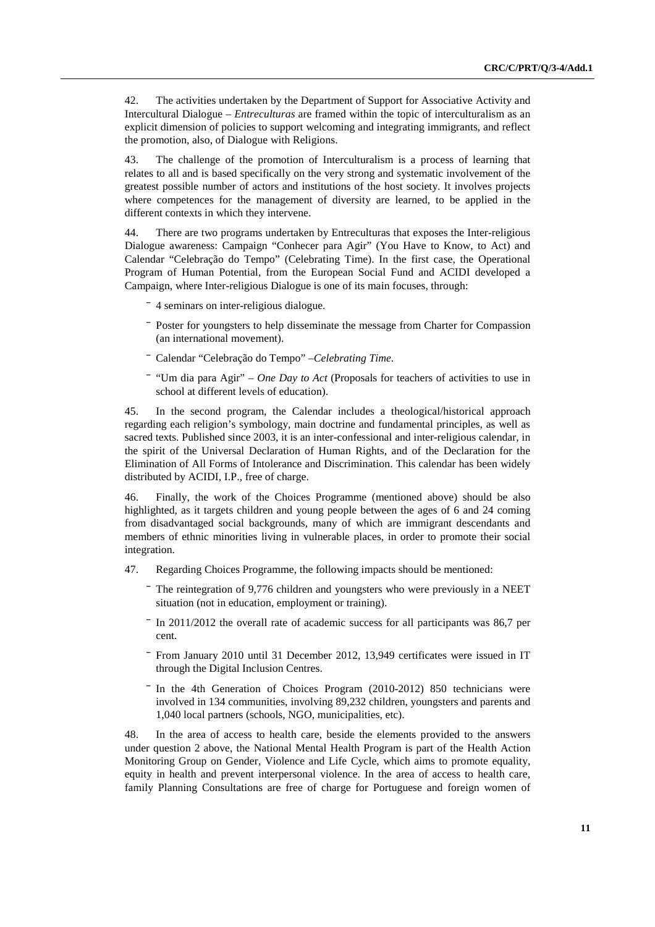42. The activities undertaken by the Department of Support for Associative Activity and Intercultural Dialogue – *Entreculturas* are framed within the topic of interculturalism as an explicit dimension of policies to support welcoming and integrating immigrants, and reflect the promotion, also, of Dialogue with Religions.

43. The challenge of the promotion of Interculturalism is a process of learning that relates to all and is based specifically on the very strong and systematic involvement of the greatest possible number of actors and institutions of the host society. It involves projects where competences for the management of diversity are learned, to be applied in the different contexts in which they intervene.

44. There are two programs undertaken by Entreculturas that exposes the Inter-religious Dialogue awareness: Campaign "Conhecer para Agir" (You Have to Know, to Act) and Calendar "Celebração do Tempo" (Celebrating Time). In the first case, the Operational Program of Human Potential, from the European Social Fund and ACIDI developed a Campaign, where Inter-religious Dialogue is one of its main focuses, through:

- ⎯ 4 seminars on inter-religious dialogue.
- ⎯ Poster for youngsters to help disseminate the message from Charter for Compassion (an international movement).
- ⎯ Calendar "Celebração do Tempo" –*Celebrating Time*.
- ⎯ "Um dia para Agir" *One Day to Act* (Proposals for teachers of activities to use in school at different levels of education).

45. In the second program, the Calendar includes a theological/historical approach regarding each religion's symbology, main doctrine and fundamental principles, as well as sacred texts. Published since 2003, it is an inter-confessional and inter-religious calendar, in the spirit of the Universal Declaration of Human Rights, and of the Declaration for the Elimination of All Forms of Intolerance and Discrimination. This calendar has been widely distributed by ACIDI, I.P., free of charge.

46. Finally, the work of the Choices Programme (mentioned above) should be also highlighted, as it targets children and young people between the ages of 6 and 24 coming from disadvantaged social backgrounds, many of which are immigrant descendants and members of ethnic minorities living in vulnerable places, in order to promote their social integration.

- 47. Regarding Choices Programme, the following impacts should be mentioned:
	- The reintegration of 9,776 children and youngsters who were previously in a NEET situation (not in education, employment or training).
	- ⎯ In 2011/2012 the overall rate of academic success for all participants was 86,7 per cent.
	- From January 2010 until 31 December 2012, 13,949 certificates were issued in IT through the Digital Inclusion Centres.
	- In the 4th Generation of Choices Program (2010-2012) 850 technicians were involved in 134 communities, involving 89,232 children, youngsters and parents and 1,040 local partners (schools, NGO, municipalities, etc).

48. In the area of access to health care, beside the elements provided to the answers under question 2 above, the National Mental Health Program is part of the Health Action Monitoring Group on Gender, Violence and Life Cycle, which aims to promote equality, equity in health and prevent interpersonal violence. In the area of access to health care, family Planning Consultations are free of charge for Portuguese and foreign women of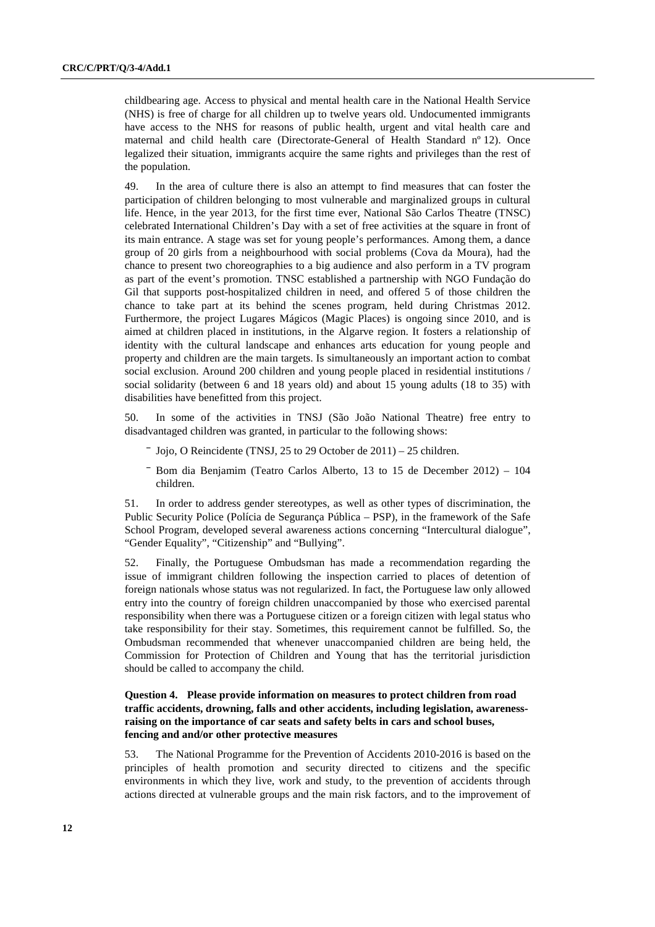childbearing age. Access to physical and mental health care in the National Health Service (NHS) is free of charge for all children up to twelve years old. Undocumented immigrants have access to the NHS for reasons of public health, urgent and vital health care and maternal and child health care (Directorate-General of Health Standard nº 12). Once legalized their situation, immigrants acquire the same rights and privileges than the rest of the population.

49. In the area of culture there is also an attempt to find measures that can foster the participation of children belonging to most vulnerable and marginalized groups in cultural life. Hence, in the year 2013, for the first time ever, National São Carlos Theatre (TNSC) celebrated International Children's Day with a set of free activities at the square in front of its main entrance. A stage was set for young people's performances. Among them, a dance group of 20 girls from a neighbourhood with social problems (Cova da Moura), had the chance to present two choreographies to a big audience and also perform in a TV program as part of the event's promotion. TNSC established a partnership with NGO Fundação do Gil that supports post-hospitalized children in need, and offered 5 of those children the chance to take part at its behind the scenes program, held during Christmas 2012. Furthermore, the project Lugares Mágicos (Magic Places) is ongoing since 2010, and is aimed at children placed in institutions, in the Algarve region. It fosters a relationship of identity with the cultural landscape and enhances arts education for young people and property and children are the main targets. Is simultaneously an important action to combat social exclusion. Around 200 children and young people placed in residential institutions / social solidarity (between 6 and 18 years old) and about 15 young adults (18 to 35) with disabilities have benefitted from this project.

50. In some of the activities in TNSJ (São João National Theatre) free entry to disadvantaged children was granted, in particular to the following shows:

- ⎯ Jojo, O Reincidente (TNSJ, 25 to 29 October de 2011) 25 children.
- ⎯ Bom dia Benjamim (Teatro Carlos Alberto, 13 to 15 de December 2012) 104 children.

51. In order to address gender stereotypes, as well as other types of discrimination, the Public Security Police (Polícia de Segurança Pública – PSP), in the framework of the Safe School Program, developed several awareness actions concerning "Intercultural dialogue", "Gender Equality", "Citizenship" and "Bullying".

52. Finally, the Portuguese Ombudsman has made a recommendation regarding the issue of immigrant children following the inspection carried to places of detention of foreign nationals whose status was not regularized. In fact, the Portuguese law only allowed entry into the country of foreign children unaccompanied by those who exercised parental responsibility when there was a Portuguese citizen or a foreign citizen with legal status who take responsibility for their stay. Sometimes, this requirement cannot be fulfilled. So, the Ombudsman recommended that whenever unaccompanied children are being held, the Commission for Protection of Children and Young that has the territorial jurisdiction should be called to accompany the child.

## **Question 4. Please provide information on measures to protect children from road traffic accidents, drowning, falls and other accidents, including legislation, awarenessraising on the importance of car seats and safety belts in cars and school buses, fencing and and/or other protective measures**

53. The National Programme for the Prevention of Accidents 2010-2016 is based on the principles of health promotion and security directed to citizens and the specific environments in which they live, work and study, to the prevention of accidents through actions directed at vulnerable groups and the main risk factors, and to the improvement of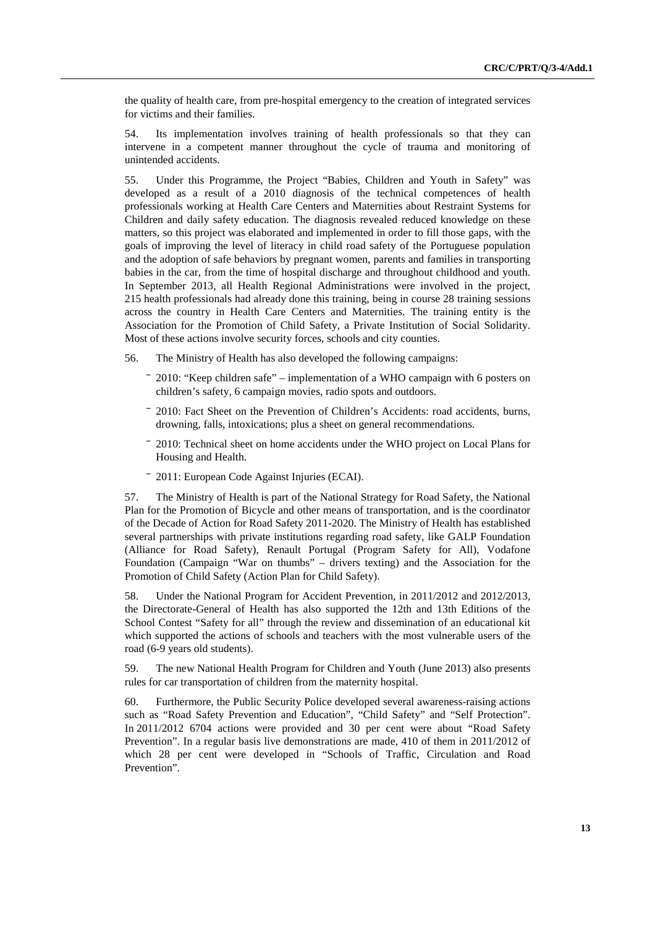the quality of health care, from pre-hospital emergency to the creation of integrated services for victims and their families.

54. Its implementation involves training of health professionals so that they can intervene in a competent manner throughout the cycle of trauma and monitoring of unintended accidents.

55. Under this Programme, the Project "Babies, Children and Youth in Safety" was developed as a result of a 2010 diagnosis of the technical competences of health professionals working at Health Care Centers and Maternities about Restraint Systems for Children and daily safety education. The diagnosis revealed reduced knowledge on these matters, so this project was elaborated and implemented in order to fill those gaps, with the goals of improving the level of literacy in child road safety of the Portuguese population and the adoption of safe behaviors by pregnant women, parents and families in transporting babies in the car, from the time of hospital discharge and throughout childhood and youth. In September 2013, all Health Regional Administrations were involved in the project, 215 health professionals had already done this training, being in course 28 training sessions across the country in Health Care Centers and Maternities. The training entity is the Association for the Promotion of Child Safety, a Private Institution of Social Solidarity. Most of these actions involve security forces, schools and city counties.

56. The Ministry of Health has also developed the following campaigns:

- ⎯ 2010: "Keep children safe" implementation of a WHO campaign with 6 posters on children's safety, 6 campaign movies, radio spots and outdoors.
- ⎯ 2010: Fact Sheet on the Prevention of Children's Accidents: road accidents, burns, drowning, falls, intoxications; plus a sheet on general recommendations.
- ⎯ 2010: Technical sheet on home accidents under the WHO project on Local Plans for Housing and Health.
- ⎯ 2011: European Code Against Injuries (ECAI).

57. The Ministry of Health is part of the National Strategy for Road Safety, the National Plan for the Promotion of Bicycle and other means of transportation, and is the coordinator of the Decade of Action for Road Safety 2011-2020. The Ministry of Health has established several partnerships with private institutions regarding road safety, like GALP Foundation (Alliance for Road Safety), Renault Portugal (Program Safety for All), Vodafone Foundation (Campaign "War on thumbs" – drivers texting) and the Association for the Promotion of Child Safety (Action Plan for Child Safety).

58. Under the National Program for Accident Prevention, in 2011/2012 and 2012/2013, the Directorate-General of Health has also supported the 12th and 13th Editions of the School Contest "Safety for all" through the review and dissemination of an educational kit which supported the actions of schools and teachers with the most vulnerable users of the road (6-9 years old students).

59. The new National Health Program for Children and Youth (June 2013) also presents rules for car transportation of children from the maternity hospital.

60. Furthermore, the Public Security Police developed several awareness-raising actions such as "Road Safety Prevention and Education", "Child Safety" and "Self Protection". In 2011/2012 6704 actions were provided and 30 per cent were about "Road Safety Prevention". In a regular basis live demonstrations are made, 410 of them in 2011/2012 of which 28 per cent were developed in "Schools of Traffic, Circulation and Road Prevention".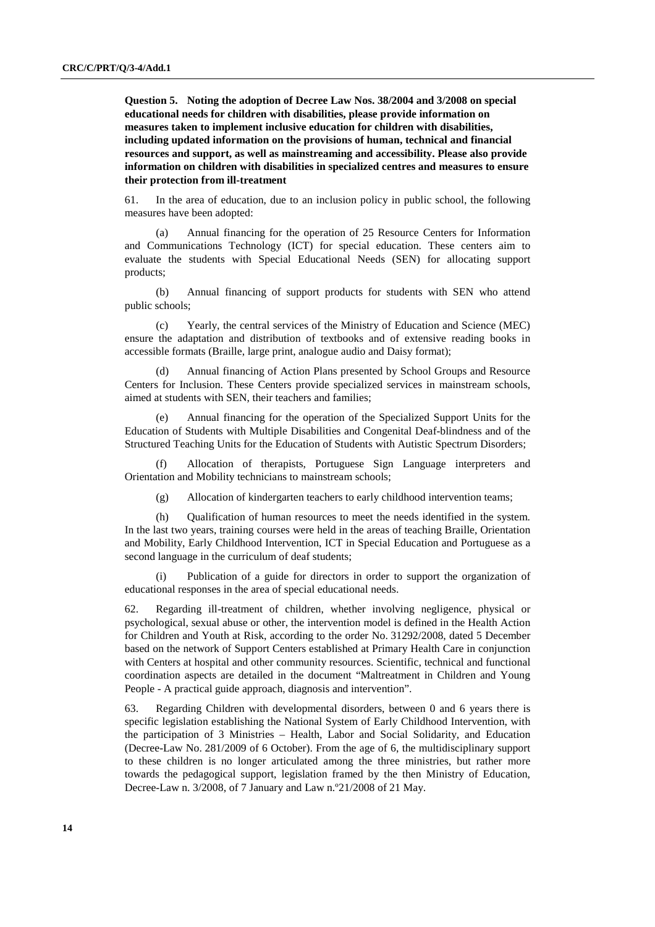**Question 5. Noting the adoption of Decree Law Nos. 38/2004 and 3/2008 on special educational needs for children with disabilities, please provide information on measures taken to implement inclusive education for children with disabilities, including updated information on the provisions of human, technical and financial resources and support, as well as mainstreaming and accessibility. Please also provide information on children with disabilities in specialized centres and measures to ensure their protection from ill-treatment** 

61. In the area of education, due to an inclusion policy in public school, the following measures have been adopted:

(a) Annual financing for the operation of 25 Resource Centers for Information and Communications Technology (ICT) for special education. These centers aim to evaluate the students with Special Educational Needs (SEN) for allocating support products;

(b) Annual financing of support products for students with SEN who attend public schools;

(c) Yearly, the central services of the Ministry of Education and Science (MEC) ensure the adaptation and distribution of textbooks and of extensive reading books in accessible formats (Braille, large print, analogue audio and Daisy format);

(d) Annual financing of Action Plans presented by School Groups and Resource Centers for Inclusion. These Centers provide specialized services in mainstream schools, aimed at students with SEN, their teachers and families;

Annual financing for the operation of the Specialized Support Units for the Education of Students with Multiple Disabilities and Congenital Deaf-blindness and of the Structured Teaching Units for the Education of Students with Autistic Spectrum Disorders;

(f) Allocation of therapists, Portuguese Sign Language interpreters and Orientation and Mobility technicians to mainstream schools;

(g) Allocation of kindergarten teachers to early childhood intervention teams;

(h) Qualification of human resources to meet the needs identified in the system. In the last two years, training courses were held in the areas of teaching Braille, Orientation and Mobility, Early Childhood Intervention, ICT in Special Education and Portuguese as a second language in the curriculum of deaf students;

(i) Publication of a guide for directors in order to support the organization of educational responses in the area of special educational needs.

62. Regarding ill-treatment of children, whether involving negligence, physical or psychological, sexual abuse or other, the intervention model is defined in the Health Action for Children and Youth at Risk, according to the order No. 31292/2008, dated 5 December based on the network of Support Centers established at Primary Health Care in conjunction with Centers at hospital and other community resources. Scientific, technical and functional coordination aspects are detailed in the document "Maltreatment in Children and Young People - A practical guide approach, diagnosis and intervention".

63. Regarding Children with developmental disorders, between 0 and 6 years there is specific legislation establishing the National System of Early Childhood Intervention, with the participation of 3 Ministries – Health, Labor and Social Solidarity, and Education (Decree-Law No. 281/2009 of 6 October). From the age of 6, the multidisciplinary support to these children is no longer articulated among the three ministries, but rather more towards the pedagogical support, legislation framed by the then Ministry of Education, Decree-Law n. 3/2008, of 7 January and Law n.º21/2008 of 21 May.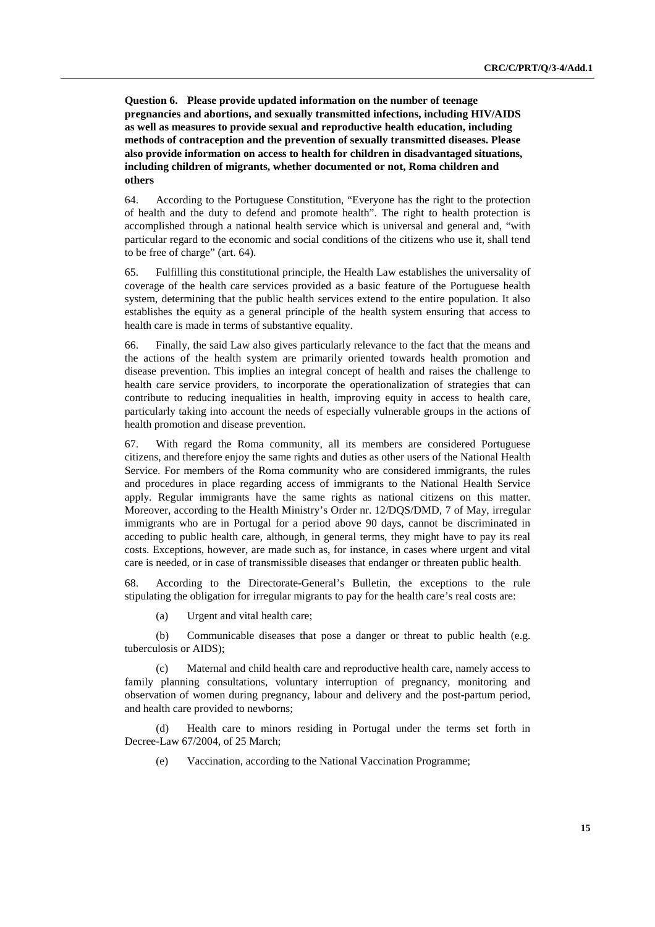**Question 6. Please provide updated information on the number of teenage pregnancies and abortions, and sexually transmitted infections, including HIV/AIDS as well as measures to provide sexual and reproductive health education, including methods of contraception and the prevention of sexually transmitted diseases. Please also provide information on access to health for children in disadvantaged situations, including children of migrants, whether documented or not, Roma children and others** 

64. According to the Portuguese Constitution, "Everyone has the right to the protection of health and the duty to defend and promote health". The right to health protection is accomplished through a national health service which is universal and general and, "with particular regard to the economic and social conditions of the citizens who use it, shall tend to be free of charge" (art. 64).

65. Fulfilling this constitutional principle, the Health Law establishes the universality of coverage of the health care services provided as a basic feature of the Portuguese health system, determining that the public health services extend to the entire population. It also establishes the equity as a general principle of the health system ensuring that access to health care is made in terms of substantive equality.

66. Finally, the said Law also gives particularly relevance to the fact that the means and the actions of the health system are primarily oriented towards health promotion and disease prevention. This implies an integral concept of health and raises the challenge to health care service providers, to incorporate the operationalization of strategies that can contribute to reducing inequalities in health, improving equity in access to health care, particularly taking into account the needs of especially vulnerable groups in the actions of health promotion and disease prevention.

67. With regard the Roma community, all its members are considered Portuguese citizens, and therefore enjoy the same rights and duties as other users of the National Health Service. For members of the Roma community who are considered immigrants, the rules and procedures in place regarding access of immigrants to the National Health Service apply. Regular immigrants have the same rights as national citizens on this matter. Moreover, according to the Health Ministry's Order nr. 12/DQS/DMD, 7 of May, irregular immigrants who are in Portugal for a period above 90 days, cannot be discriminated in acceding to public health care, although, in general terms, they might have to pay its real costs. Exceptions, however, are made such as, for instance, in cases where urgent and vital care is needed, or in case of transmissible diseases that endanger or threaten public health.

68. According to the Directorate-General's Bulletin, the exceptions to the rule stipulating the obligation for irregular migrants to pay for the health care's real costs are:

(a) Urgent and vital health care;

(b) Communicable diseases that pose a danger or threat to public health (e.g. tuberculosis or AIDS);

(c) Maternal and child health care and reproductive health care, namely access to family planning consultations, voluntary interruption of pregnancy, monitoring and observation of women during pregnancy, labour and delivery and the post-partum period, and health care provided to newborns;

(d) Health care to minors residing in Portugal under the terms set forth in Decree-Law 67/2004, of 25 March;

(e) Vaccination, according to the National Vaccination Programme;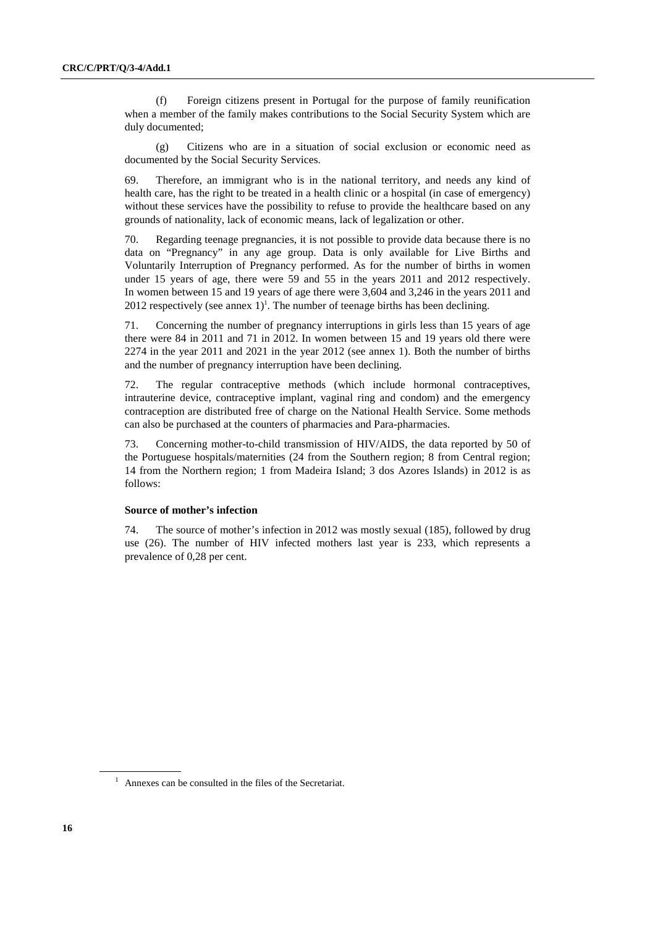(f) Foreign citizens present in Portugal for the purpose of family reunification when a member of the family makes contributions to the Social Security System which are duly documented;

(g) Citizens who are in a situation of social exclusion or economic need as documented by the Social Security Services.

69. Therefore, an immigrant who is in the national territory, and needs any kind of health care, has the right to be treated in a health clinic or a hospital (in case of emergency) without these services have the possibility to refuse to provide the healthcare based on any grounds of nationality, lack of economic means, lack of legalization or other.

70. Regarding teenage pregnancies, it is not possible to provide data because there is no data on "Pregnancy" in any age group. Data is only available for Live Births and Voluntarily Interruption of Pregnancy performed. As for the number of births in women under 15 years of age, there were 59 and 55 in the years 2011 and 2012 respectively. In women between 15 and 19 years of age there were 3,604 and 3,246 in the years 2011 and 2012 respectively (see annex  $1$ )<sup>1</sup>. The number of teenage births has been declining.

71. Concerning the number of pregnancy interruptions in girls less than 15 years of age there were 84 in 2011 and 71 in 2012. In women between 15 and 19 years old there were 2274 in the year 2011 and 2021 in the year 2012 (see annex 1). Both the number of births and the number of pregnancy interruption have been declining.

72. The regular contraceptive methods (which include hormonal contraceptives, intrauterine device, contraceptive implant, vaginal ring and condom) and the emergency contraception are distributed free of charge on the National Health Service. Some methods can also be purchased at the counters of pharmacies and Para-pharmacies.

73. Concerning mother-to-child transmission of HIV/AIDS, the data reported by 50 of the Portuguese hospitals/maternities (24 from the Southern region; 8 from Central region; 14 from the Northern region; 1 from Madeira Island; 3 dos Azores Islands) in 2012 is as follows:

#### **Source of mother's infection**

74. The source of mother's infection in 2012 was mostly sexual (185), followed by drug use (26). The number of HIV infected mothers last year is 233, which represents a prevalence of 0,28 per cent.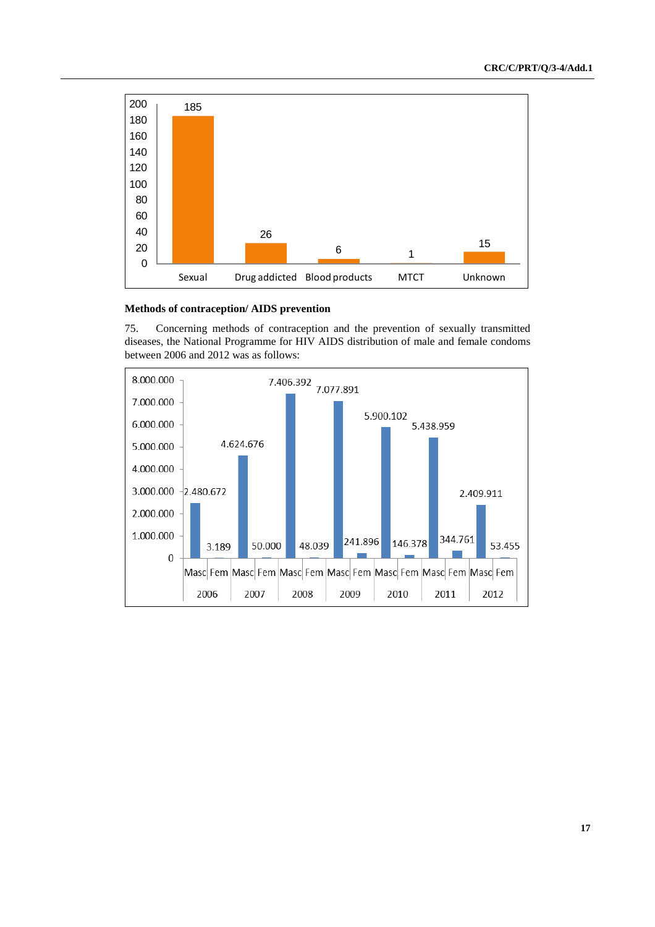

## **Methods of contraception/ AIDS prevention**

75. Concerning methods of contraception and the prevention of sexually transmitted diseases, the National Programme for HIV AIDS distribution of male and female condoms between 2006 and 2012 was as follows:

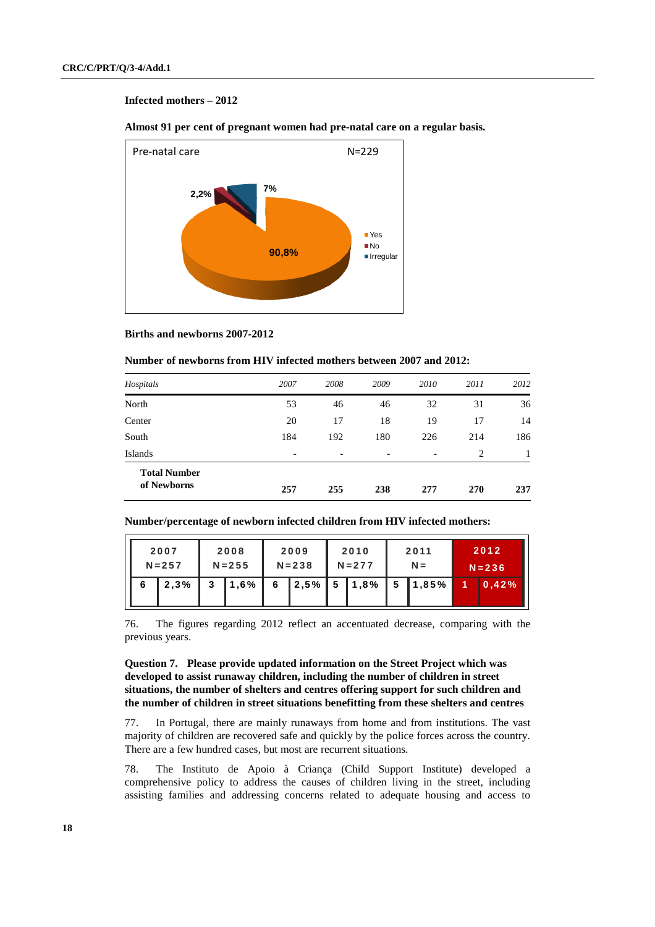# **Infected mothers – 2012**

 **Almost 91 per cent of pregnant women had pre-natal care on a regular basis.** 



#### **Births and newborns 2007-2012**

|  | Number of newborns from HIV infected mothers between 2007 and 2012: |
|--|---------------------------------------------------------------------|
|--|---------------------------------------------------------------------|

| Hospitals                          | 2007                     | 2008 | 2009 | 2010                     | 2011 | 2012 |
|------------------------------------|--------------------------|------|------|--------------------------|------|------|
| North                              | 53                       | 46   | 46   | 32                       | 31   | 36   |
| Center                             | 20                       | 17   | 18   | 19                       | 17   | 14   |
| South                              | 184                      | 192  | 180  | 226                      | 214  | 186  |
| Islands                            | $\overline{\phantom{0}}$ |      | -    | $\overline{\phantom{a}}$ | 2    |      |
| <b>Total Number</b><br>of Newborns | 257                      | 255  | 238  | 277                      | 270  | 237  |

|   | 2007<br>$N = 257$ |   | 2008<br>$N = 255$ |   | 2009<br>$N = 238$ |   | 2010<br>$N = 277$ |   | 2011<br>$N =$ | 2012<br>$N = 236$ |
|---|-------------------|---|-------------------|---|-------------------|---|-------------------|---|---------------|-------------------|
| 6 | 2,3%              | 3 | 1,6%              | 6 | 12,5%             | 5 | 1,8%              | 5 | 1,85%         | 10.42%            |

 **Number/percentage of newborn infected children from HIV infected mothers:** 

76. The figures regarding 2012 reflect an accentuated decrease, comparing with the previous years.

## **Question 7. Please provide updated information on the Street Project which was developed to assist runaway children, including the number of children in street situations, the number of shelters and centres offering support for such children and the number of children in street situations benefitting from these shelters and centres**

77. In Portugal, there are mainly runaways from home and from institutions. The vast majority of children are recovered safe and quickly by the police forces across the country. There are a few hundred cases, but most are recurrent situations.

78. The Instituto de Apoio à Criança (Child Support Institute) developed a comprehensive policy to address the causes of children living in the street, including assisting families and addressing concerns related to adequate housing and access to

ΙL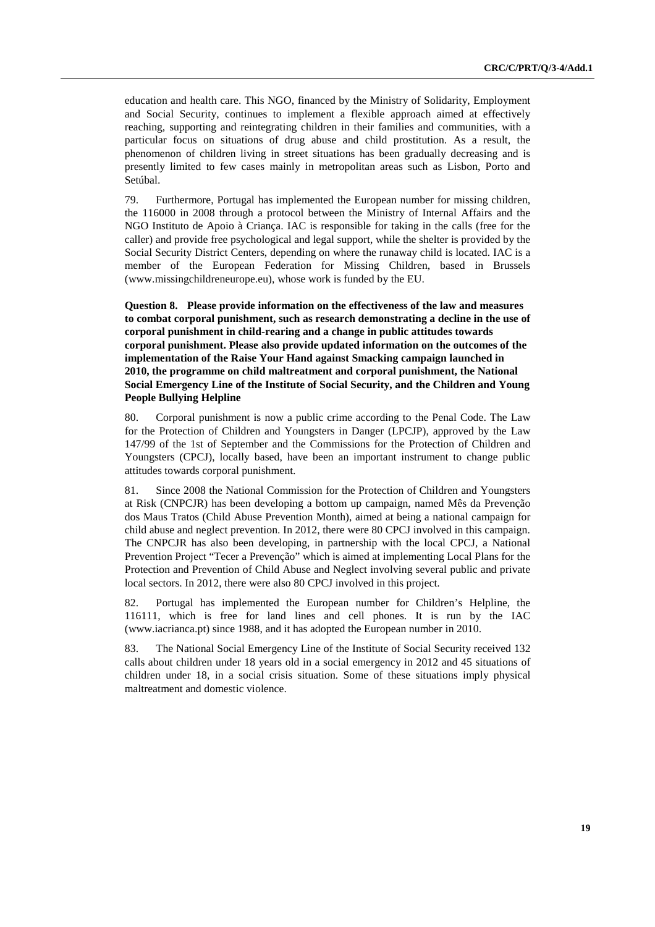education and health care. This NGO, financed by the Ministry of Solidarity, Employment and Social Security, continues to implement a flexible approach aimed at effectively reaching, supporting and reintegrating children in their families and communities, with a particular focus on situations of drug abuse and child prostitution. As a result, the phenomenon of children living in street situations has been gradually decreasing and is presently limited to few cases mainly in metropolitan areas such as Lisbon, Porto and Setúbal.

79. Furthermore, Portugal has implemented the European number for missing children, the 116000 in 2008 through a protocol between the Ministry of Internal Affairs and the NGO Instituto de Apoio à Criança. IAC is responsible for taking in the calls (free for the caller) and provide free psychological and legal support, while the shelter is provided by the Social Security District Centers, depending on where the runaway child is located. IAC is a member of the European Federation for Missing Children, based in Brussels (www.missingchildreneurope.eu), whose work is funded by the EU.

**Question 8. Please provide information on the effectiveness of the law and measures to combat corporal punishment, such as research demonstrating a decline in the use of corporal punishment in child-rearing and a change in public attitudes towards corporal punishment. Please also provide updated information on the outcomes of the implementation of the Raise Your Hand against Smacking campaign launched in 2010, the programme on child maltreatment and corporal punishment, the National Social Emergency Line of the Institute of Social Security, and the Children and Young People Bullying Helpline** 

80. Corporal punishment is now a public crime according to the Penal Code. The Law for the Protection of Children and Youngsters in Danger (LPCJP), approved by the Law 147/99 of the 1st of September and the Commissions for the Protection of Children and Youngsters (CPCJ), locally based, have been an important instrument to change public attitudes towards corporal punishment.

81. Since 2008 the National Commission for the Protection of Children and Youngsters at Risk (CNPCJR) has been developing a bottom up campaign, named Mês da Prevenção dos Maus Tratos (Child Abuse Prevention Month), aimed at being a national campaign for child abuse and neglect prevention. In 2012, there were 80 CPCJ involved in this campaign. The CNPCJR has also been developing, in partnership with the local CPCJ, a National Prevention Project "Tecer a Prevenção" which is aimed at implementing Local Plans for the Protection and Prevention of Child Abuse and Neglect involving several public and private local sectors. In 2012, there were also 80 CPCJ involved in this project.

82. Portugal has implemented the European number for Children's Helpline, the 116111, which is free for land lines and cell phones. It is run by the IAC (www.iacrianca.pt) since 1988, and it has adopted the European number in 2010.

83. The National Social Emergency Line of the Institute of Social Security received 132 calls about children under 18 years old in a social emergency in 2012 and 45 situations of children under 18, in a social crisis situation. Some of these situations imply physical maltreatment and domestic violence.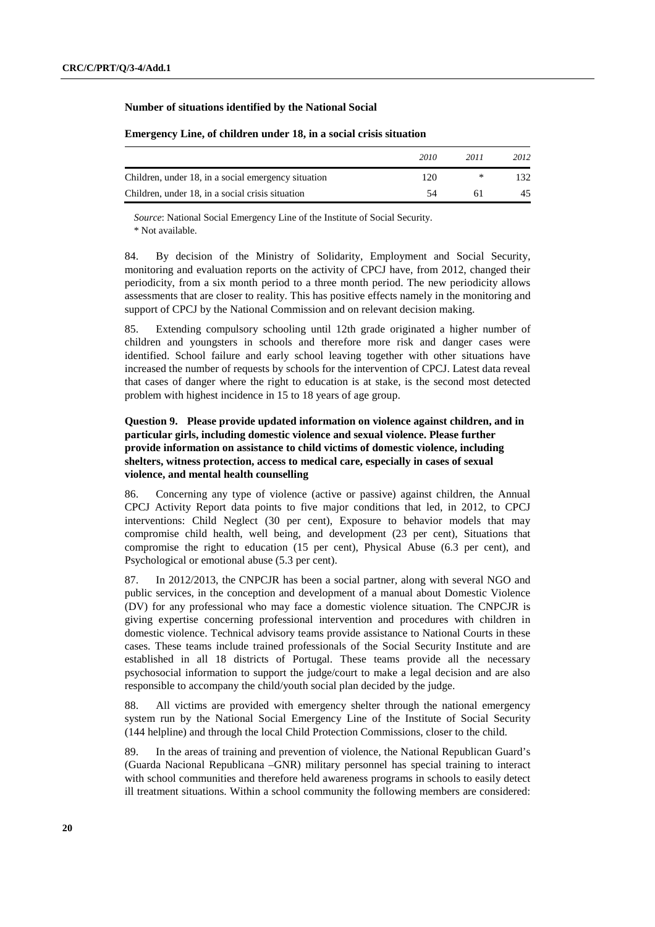# **Number of situations identified by the National Social**

|                                                     | 2010 | 2011 | 2012 |
|-----------------------------------------------------|------|------|------|
| Children, under 18, in a social emergency situation | 120  | ∗    |      |
| Children, under 18, in a social crisis situation    |      |      | 45   |

#### **Emergency Line, of children under 18, in a social crisis situation**

*Source*: National Social Emergency Line of the Institute of Social Security. \* Not available.

84. By decision of the Ministry of Solidarity, Employment and Social Security, monitoring and evaluation reports on the activity of CPCJ have, from 2012, changed their periodicity, from a six month period to a three month period. The new periodicity allows assessments that are closer to reality. This has positive effects namely in the monitoring and support of CPCJ by the National Commission and on relevant decision making.

85. Extending compulsory schooling until 12th grade originated a higher number of children and youngsters in schools and therefore more risk and danger cases were identified. School failure and early school leaving together with other situations have increased the number of requests by schools for the intervention of CPCJ. Latest data reveal that cases of danger where the right to education is at stake, is the second most detected problem with highest incidence in 15 to 18 years of age group.

## **Question 9. Please provide updated information on violence against children, and in particular girls, including domestic violence and sexual violence. Please further provide information on assistance to child victims of domestic violence, including shelters, witness protection, access to medical care, especially in cases of sexual violence, and mental health counselling**

86. Concerning any type of violence (active or passive) against children, the Annual CPCJ Activity Report data points to five major conditions that led, in 2012, to CPCJ interventions: Child Neglect (30 per cent), Exposure to behavior models that may compromise child health, well being, and development (23 per cent), Situations that compromise the right to education (15 per cent), Physical Abuse (6.3 per cent), and Psychological or emotional abuse (5.3 per cent).

87. In 2012/2013, the CNPCJR has been a social partner, along with several NGO and public services, in the conception and development of a manual about Domestic Violence (DV) for any professional who may face a domestic violence situation. The CNPCJR is giving expertise concerning professional intervention and procedures with children in domestic violence. Technical advisory teams provide assistance to National Courts in these cases. These teams include trained professionals of the Social Security Institute and are established in all 18 districts of Portugal. These teams provide all the necessary psychosocial information to support the judge/court to make a legal decision and are also responsible to accompany the child/youth social plan decided by the judge.

88. All victims are provided with emergency shelter through the national emergency system run by the National Social Emergency Line of the Institute of Social Security (144 helpline) and through the local Child Protection Commissions, closer to the child.

89. In the areas of training and prevention of violence, the National Republican Guard's (Guarda Nacional Republicana –GNR) military personnel has special training to interact with school communities and therefore held awareness programs in schools to easily detect ill treatment situations. Within a school community the following members are considered: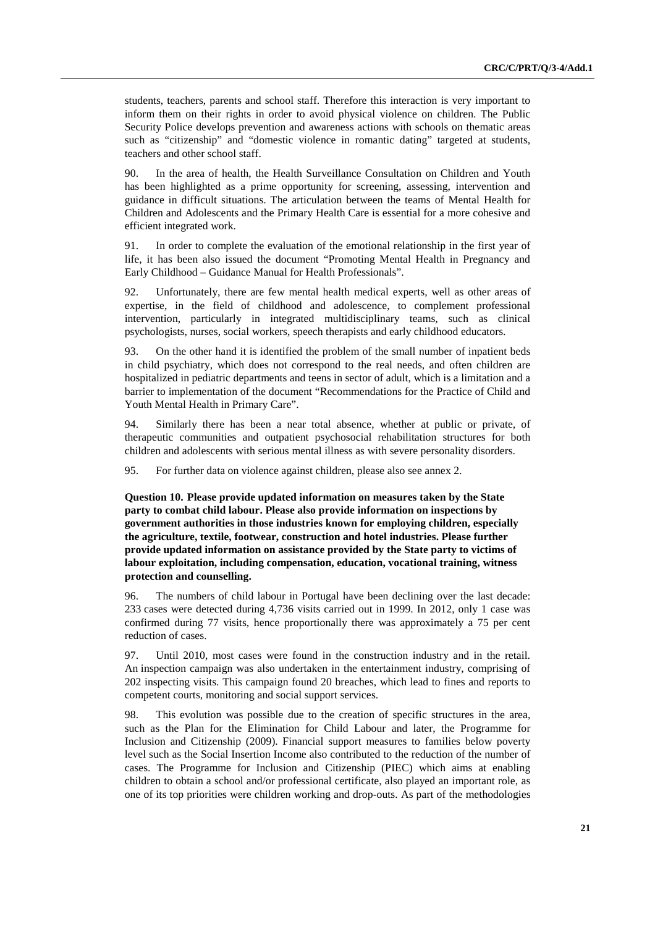students, teachers, parents and school staff. Therefore this interaction is very important to inform them on their rights in order to avoid physical violence on children. The Public Security Police develops prevention and awareness actions with schools on thematic areas such as "citizenship" and "domestic violence in romantic dating" targeted at students, teachers and other school staff.

90. In the area of health, the Health Surveillance Consultation on Children and Youth has been highlighted as a prime opportunity for screening, assessing, intervention and guidance in difficult situations. The articulation between the teams of Mental Health for Children and Adolescents and the Primary Health Care is essential for a more cohesive and efficient integrated work.

91. In order to complete the evaluation of the emotional relationship in the first year of life, it has been also issued the document "Promoting Mental Health in Pregnancy and Early Childhood – Guidance Manual for Health Professionals".

92. Unfortunately, there are few mental health medical experts, well as other areas of expertise, in the field of childhood and adolescence, to complement professional intervention, particularly in integrated multidisciplinary teams, such as clinical psychologists, nurses, social workers, speech therapists and early childhood educators.

93. On the other hand it is identified the problem of the small number of inpatient beds in child psychiatry, which does not correspond to the real needs, and often children are hospitalized in pediatric departments and teens in sector of adult, which is a limitation and a barrier to implementation of the document "Recommendations for the Practice of Child and Youth Mental Health in Primary Care".

94. Similarly there has been a near total absence, whether at public or private, of therapeutic communities and outpatient psychosocial rehabilitation structures for both children and adolescents with serious mental illness as with severe personality disorders.

95. For further data on violence against children, please also see annex 2.

 **Question 10. Please provide updated information on measures taken by the State party to combat child labour. Please also provide information on inspections by government authorities in those industries known for employing children, especially the agriculture, textile, footwear, construction and hotel industries. Please further provide updated information on assistance provided by the State party to victims of labour exploitation, including compensation, education, vocational training, witness protection and counselling.** 

96. The numbers of child labour in Portugal have been declining over the last decade: 233 cases were detected during 4,736 visits carried out in 1999. In 2012, only 1 case was confirmed during 77 visits, hence proportionally there was approximately a 75 per cent reduction of cases.

97. Until 2010, most cases were found in the construction industry and in the retail. An inspection campaign was also undertaken in the entertainment industry, comprising of 202 inspecting visits. This campaign found 20 breaches, which lead to fines and reports to competent courts, monitoring and social support services.

98. This evolution was possible due to the creation of specific structures in the area, such as the Plan for the Elimination for Child Labour and later, the Programme for Inclusion and Citizenship (2009). Financial support measures to families below poverty level such as the Social Insertion Income also contributed to the reduction of the number of cases. The Programme for Inclusion and Citizenship (PIEC) which aims at enabling children to obtain a school and/or professional certificate, also played an important role, as one of its top priorities were children working and drop-outs. As part of the methodologies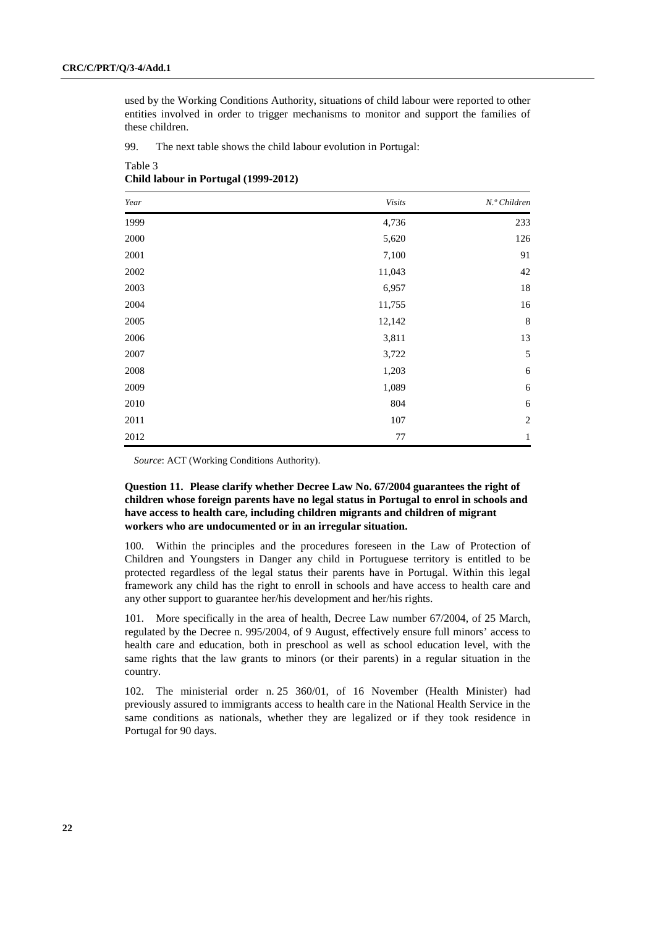used by the Working Conditions Authority, situations of child labour were reported to other entities involved in order to trigger mechanisms to monitor and support the families of these children.

99. The next table shows the child labour evolution in Portugal:

| Year     | Visits | N.º Children   |
|----------|--------|----------------|
| 1999     | 4,736  | 233            |
| 2000     | 5,620  | 126            |
| 2001     | 7,100  | 91             |
| $2002\,$ | 11,043 | 42             |
| 2003     | 6,957  | 18             |
| 2004     | 11,755 | 16             |
| 2005     | 12,142 | $\,8\,$        |
| 2006     | 3,811  | 13             |
| 2007     | 3,722  | 5              |
| $2008\,$ | 1,203  | 6              |
| 2009     | 1,089  | 6              |
| 2010     | 804    | 6              |
| 2011     | 107    | $\overline{2}$ |
| 2012     | 77     | $\,1\,$        |

Table 3 **Child labour in Portugal (1999-2012)** 

*Source*: ACT (Working Conditions Authority).

## **Question 11. Please clarify whether Decree Law No. 67/2004 guarantees the right of children whose foreign parents have no legal status in Portugal to enrol in schools and have access to health care, including children migrants and children of migrant workers who are undocumented or in an irregular situation.**

100. Within the principles and the procedures foreseen in the Law of Protection of Children and Youngsters in Danger any child in Portuguese territory is entitled to be protected regardless of the legal status their parents have in Portugal. Within this legal framework any child has the right to enroll in schools and have access to health care and any other support to guarantee her/his development and her/his rights.

101. More specifically in the area of health, Decree Law number 67/2004, of 25 March, regulated by the Decree n. 995/2004, of 9 August, effectively ensure full minors' access to health care and education, both in preschool as well as school education level, with the same rights that the law grants to minors (or their parents) in a regular situation in the country.

102. The ministerial order n. 25 360/01, of 16 November (Health Minister) had previously assured to immigrants access to health care in the National Health Service in the same conditions as nationals, whether they are legalized or if they took residence in Portugal for 90 days.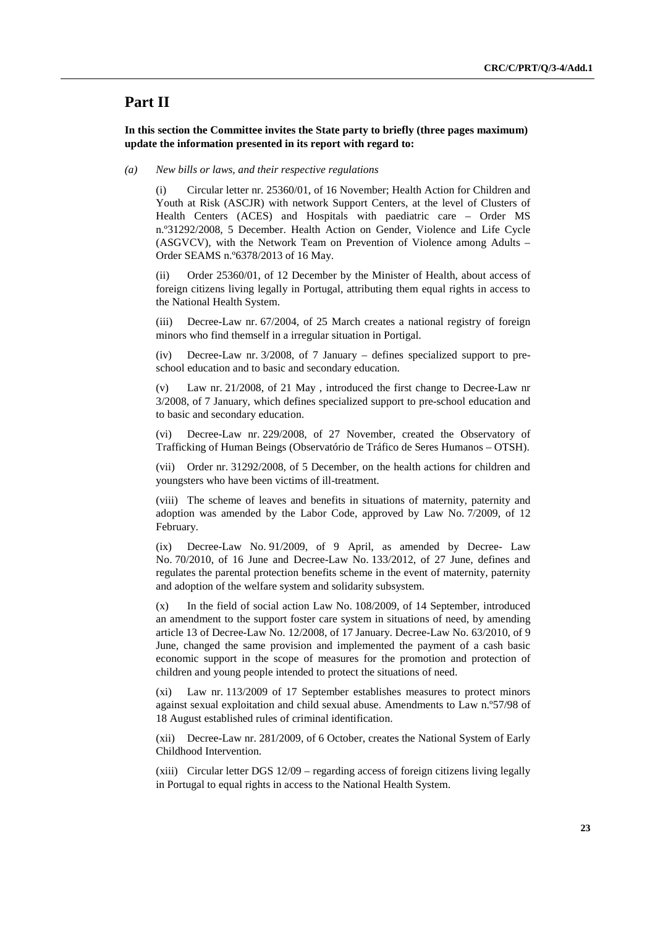# **Part II**

 **In this section the Committee invites the State party to briefly (three pages maximum) update the information presented in its report with regard to:** 

#### *(a) New bills or laws, and their respective regulations*

(i) Circular letter nr. 25360/01, of 16 November; Health Action for Children and Youth at Risk (ASCJR) with network Support Centers, at the level of Clusters of Health Centers (ACES) and Hospitals with paediatric care – Order MS n.º31292/2008, 5 December. Health Action on Gender, Violence and Life Cycle (ASGVCV), with the Network Team on Prevention of Violence among Adults – Order SEAMS n.º6378/2013 of 16 May.

(ii) Order 25360/01, of 12 December by the Minister of Health, about access of foreign citizens living legally in Portugal, attributing them equal rights in access to the National Health System.

(iii) Decree-Law nr. 67/2004, of 25 March creates a national registry of foreign minors who find themself in a irregular situation in Portigal.

(iv) Decree-Law nr. 3/2008, of 7 January – defines specialized support to preschool education and to basic and secondary education.

(v) Law nr. 21/2008, of 21 May , introduced the first change to Decree-Law nr 3/2008, of 7 January, which defines specialized support to pre-school education and to basic and secondary education.

(vi) Decree-Law nr. 229/2008, of 27 November, created the Observatory of Trafficking of Human Beings (Observatório de Tráfico de Seres Humanos – OTSH).

(vii) Order nr. 31292/2008, of 5 December, on the health actions for children and youngsters who have been victims of ill-treatment.

(viii) The scheme of leaves and benefits in situations of maternity, paternity and adoption was amended by the Labor Code, approved by Law No. 7/2009, of 12 February.

(ix) Decree-Law No. 91/2009, of 9 April, as amended by Decree- Law No. 70/2010, of 16 June and Decree-Law No. 133/2012, of 27 June, defines and regulates the parental protection benefits scheme in the event of maternity, paternity and adoption of the welfare system and solidarity subsystem.

(x) In the field of social action Law No. 108/2009, of 14 September, introduced an amendment to the support foster care system in situations of need, by amending article 13 of Decree-Law No. 12/2008, of 17 January. Decree-Law No. 63/2010, of 9 June, changed the same provision and implemented the payment of a cash basic economic support in the scope of measures for the promotion and protection of children and young people intended to protect the situations of need.

(xi) Law nr. 113/2009 of 17 September establishes measures to protect minors against sexual exploitation and child sexual abuse. Amendments to Law n.º57/98 of 18 August established rules of criminal identification.

(xii) Decree-Law nr. 281/2009, of 6 October, creates the National System of Early Childhood Intervention.

(xiii) Circular letter DGS 12/09 – regarding access of foreign citizens living legally in Portugal to equal rights in access to the National Health System.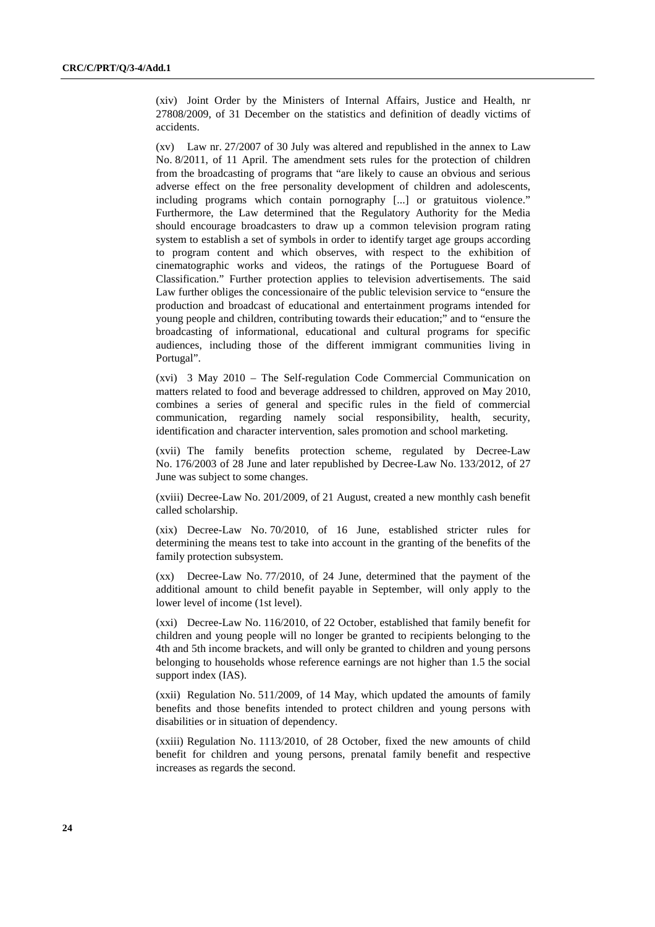(xiv) Joint Order by the Ministers of Internal Affairs, Justice and Health, nr 27808/2009, of 31 December on the statistics and definition of deadly victims of accidents.

(xv) Law nr. 27/2007 of 30 July was altered and republished in the annex to Law No. 8/2011, of 11 April. The amendment sets rules for the protection of children from the broadcasting of programs that "are likely to cause an obvious and serious adverse effect on the free personality development of children and adolescents, including programs which contain pornography [...] or gratuitous violence." Furthermore, the Law determined that the Regulatory Authority for the Media should encourage broadcasters to draw up a common television program rating system to establish a set of symbols in order to identify target age groups according to program content and which observes, with respect to the exhibition of cinematographic works and videos, the ratings of the Portuguese Board of Classification." Further protection applies to television advertisements. The said Law further obliges the concessionaire of the public television service to "ensure the production and broadcast of educational and entertainment programs intended for young people and children, contributing towards their education;" and to "ensure the broadcasting of informational, educational and cultural programs for specific audiences, including those of the different immigrant communities living in Portugal".

(xvi) 3 May 2010 – The Self-regulation Code Commercial Communication on matters related to food and beverage addressed to children, approved on May 2010, combines a series of general and specific rules in the field of commercial communication, regarding namely social responsibility, health, security, identification and character intervention, sales promotion and school marketing.

(xvii) The family benefits protection scheme, regulated by Decree-Law No. 176/2003 of 28 June and later republished by Decree-Law No. 133/2012, of 27 June was subject to some changes.

(xviii) Decree-Law No. 201/2009, of 21 August, created a new monthly cash benefit called scholarship.

(xix) Decree-Law No. 70/2010, of 16 June, established stricter rules for determining the means test to take into account in the granting of the benefits of the family protection subsystem.

(xx) Decree-Law No. 77/2010, of 24 June, determined that the payment of the additional amount to child benefit payable in September, will only apply to the lower level of income (1st level).

(xxi) Decree-Law No. 116/2010, of 22 October, established that family benefit for children and young people will no longer be granted to recipients belonging to the 4th and 5th income brackets, and will only be granted to children and young persons belonging to households whose reference earnings are not higher than 1.5 the social support index (IAS).

(xxii) Regulation No. 511/2009, of 14 May, which updated the amounts of family benefits and those benefits intended to protect children and young persons with disabilities or in situation of dependency.

(xxiii) Regulation No. 1113/2010, of 28 October, fixed the new amounts of child benefit for children and young persons, prenatal family benefit and respective increases as regards the second.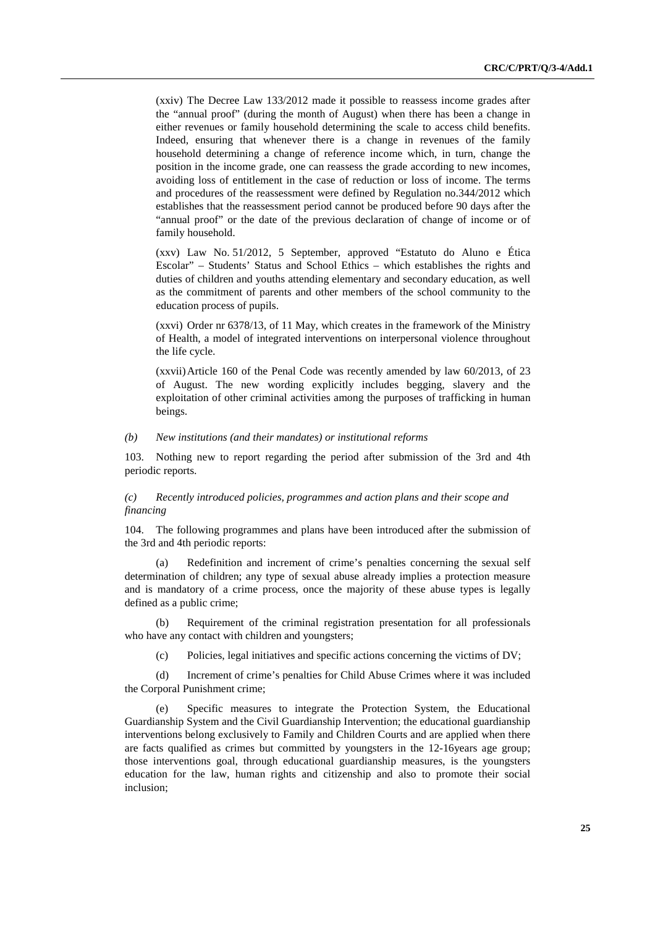(xxiv) The Decree Law 133/2012 made it possible to reassess income grades after the "annual proof" (during the month of August) when there has been a change in either revenues or family household determining the scale to access child benefits. Indeed, ensuring that whenever there is a change in revenues of the family household determining a change of reference income which, in turn, change the position in the income grade, one can reassess the grade according to new incomes, avoiding loss of entitlement in the case of reduction or loss of income. The terms and procedures of the reassessment were defined by Regulation no.344/2012 which establishes that the reassessment period cannot be produced before 90 days after the "annual proof" or the date of the previous declaration of change of income or of family household.

(xxv) Law No. 51/2012, 5 September, approved "Estatuto do Aluno e Ética Escolar" – Students' Status and School Ethics – which establishes the rights and duties of children and youths attending elementary and secondary education, as well as the commitment of parents and other members of the school community to the education process of pupils.

(xxvi) Order nr 6378/13, of 11 May, which creates in the framework of the Ministry of Health, a model of integrated interventions on interpersonal violence throughout the life cycle.

(xxvii) Article 160 of the Penal Code was recently amended by law 60/2013, of 23 of August. The new wording explicitly includes begging, slavery and the exploitation of other criminal activities among the purposes of trafficking in human beings.

#### *(b) New institutions (and their mandates) or institutional reforms*

103. Nothing new to report regarding the period after submission of the 3rd and 4th periodic reports.

## *(c) Recently introduced policies, programmes and action plans and their scope and financing*

104. The following programmes and plans have been introduced after the submission of the 3rd and 4th periodic reports:

(a) Redefinition and increment of crime's penalties concerning the sexual self determination of children; any type of sexual abuse already implies a protection measure and is mandatory of a crime process, once the majority of these abuse types is legally defined as a public crime;

(b) Requirement of the criminal registration presentation for all professionals who have any contact with children and youngsters;

(c) Policies, legal initiatives and specific actions concerning the victims of DV;

(d) Increment of crime's penalties for Child Abuse Crimes where it was included the Corporal Punishment crime;

(e) Specific measures to integrate the Protection System, the Educational Guardianship System and the Civil Guardianship Intervention; the educational guardianship interventions belong exclusively to Family and Children Courts and are applied when there are facts qualified as crimes but committed by youngsters in the 12-16years age group; those interventions goal, through educational guardianship measures, is the youngsters education for the law, human rights and citizenship and also to promote their social inclusion;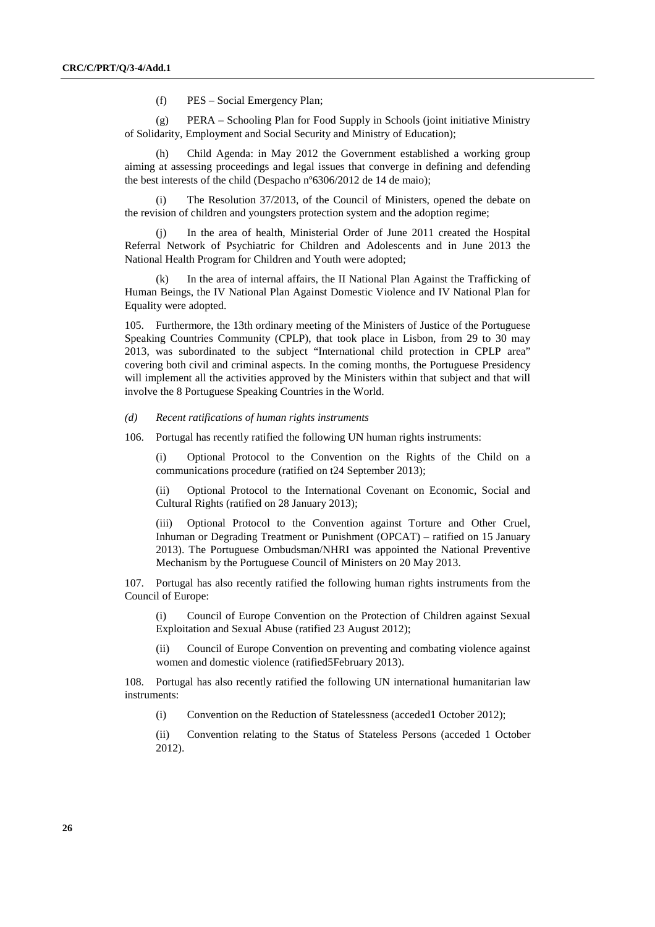(f) PES – Social Emergency Plan;

(g) PERA – Schooling Plan for Food Supply in Schools (joint initiative Ministry of Solidarity, Employment and Social Security and Ministry of Education);

(h) Child Agenda: in May 2012 the Government established a working group aiming at assessing proceedings and legal issues that converge in defining and defending the best interests of the child (Despacho nº6306/2012 de 14 de maio);

(i) The Resolution 37/2013, of the Council of Ministers, opened the debate on the revision of children and youngsters protection system and the adoption regime;

(j) In the area of health, Ministerial Order of June 2011 created the Hospital Referral Network of Psychiatric for Children and Adolescents and in June 2013 the National Health Program for Children and Youth were adopted;

(k) In the area of internal affairs, the II National Plan Against the Trafficking of Human Beings, the IV National Plan Against Domestic Violence and IV National Plan for Equality were adopted.

105. Furthermore, the 13th ordinary meeting of the Ministers of Justice of the Portuguese Speaking Countries Community (CPLP), that took place in Lisbon, from 29 to 30 may 2013, was subordinated to the subject "International child protection in CPLP area" covering both civil and criminal aspects. In the coming months, the Portuguese Presidency will implement all the activities approved by the Ministers within that subject and that will involve the 8 Portuguese Speaking Countries in the World.

 *(d) Recent ratifications of human rights instruments* 

106. Portugal has recently ratified the following UN human rights instruments:

(i) Optional Protocol to the Convention on the Rights of the Child on a communications procedure (ratified on t24 September 2013);

(ii) Optional Protocol to the International Covenant on Economic, Social and Cultural Rights (ratified on 28 January 2013);

(iii) Optional Protocol to the Convention against Torture and Other Cruel, Inhuman or Degrading Treatment or Punishment (OPCAT) – ratified on 15 January 2013). The Portuguese Ombudsman/NHRI was appointed the National Preventive Mechanism by the Portuguese Council of Ministers on 20 May 2013.

107. Portugal has also recently ratified the following human rights instruments from the Council of Europe:

(i) Council of Europe Convention on the Protection of Children against Sexual Exploitation and Sexual Abuse (ratified 23 August 2012);

(ii) Council of Europe Convention on preventing and combating violence against women and domestic violence (ratified5February 2013).

108. Portugal has also recently ratified the following UN international humanitarian law instruments:

(i) Convention on the Reduction of Statelessness (acceded1 October 2012);

(ii) Convention relating to the Status of Stateless Persons (acceded 1 October 2012).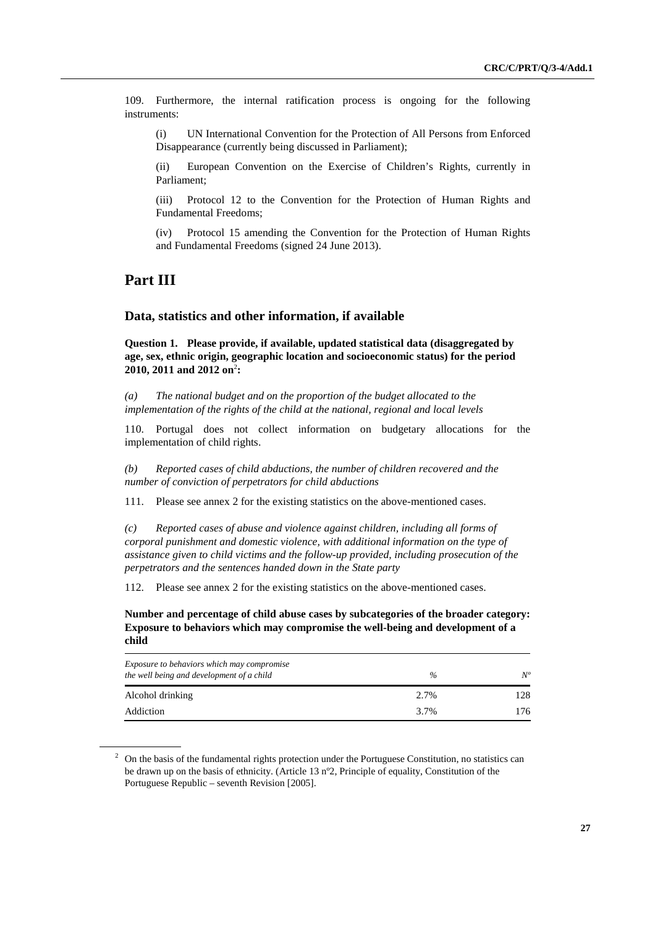109. Furthermore, the internal ratification process is ongoing for the following instruments:

(i) UN International Convention for the Protection of All Persons from Enforced Disappearance (currently being discussed in Parliament);

(ii) European Convention on the Exercise of Children's Rights, currently in Parliament;

(iii) Protocol 12 to the Convention for the Protection of Human Rights and Fundamental Freedoms;

(iv) Protocol 15 amending the Convention for the Protection of Human Rights and Fundamental Freedoms (signed 24 June 2013).

# **Part III**

# **Data, statistics and other information, if available**

 **Question 1. Please provide, if available, updated statistical data (disaggregated by age, sex, ethnic origin, geographic location and socioeconomic status) for the period**  2010, 2011 and 2012 on<sup>2</sup>:

 *(a) The national budget and on the proportion of the budget allocated to the implementation of the rights of the child at the national, regional and local levels* 

110. Portugal does not collect information on budgetary allocations for the implementation of child rights.

 *(b) Reported cases of child abductions, the number of children recovered and the number of conviction of perpetrators for child abductions* 

111. Please see annex 2 for the existing statistics on the above-mentioned cases.

 *(c) Reported cases of abuse and violence against children, including all forms of corporal punishment and domestic violence, with additional information on the type of assistance given to child victims and the follow-up provided, including prosecution of the perpetrators and the sentences handed down in the State party* 

112. Please see annex 2 for the existing statistics on the above-mentioned cases.

 **Number and percentage of child abuse cases by subcategories of the broader category: Exposure to behaviors which may compromise the well-being and development of a child** 

| Exposure to behaviors which may compromise<br>the well being and development of a child | $\%$ | $N^o$ |
|-----------------------------------------------------------------------------------------|------|-------|
| Alcohol drinking                                                                        | 2.7% | 128   |
| Addiction                                                                               | 3.7% | 176   |

 $2$  On the basis of the fundamental rights protection under the Portuguese Constitution, no statistics can be drawn up on the basis of ethnicity. (Article 13 nº2, Principle of equality, Constitution of the Portuguese Republic – seventh Revision [2005].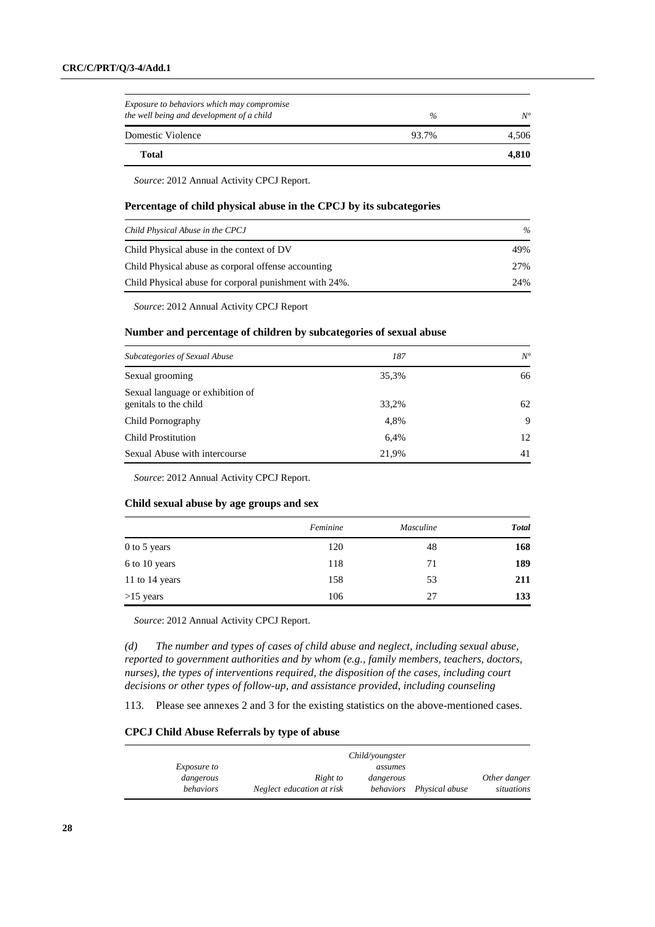| Total                                                                                   |       | 4,810 |
|-----------------------------------------------------------------------------------------|-------|-------|
| Domestic Violence                                                                       | 93.7% | 4.506 |
| Exposure to behaviors which may compromise<br>the well being and development of a child | $\%$  | $N^o$ |

*Source*: 2012 Annual Activity CPCJ Report.

## **Percentage of child physical abuse in the CPCJ by its subcategories**

| Child Physical Abuse in the CPCJ                       | $\%$ |
|--------------------------------------------------------|------|
| Child Physical abuse in the context of DV              | 49%  |
| Child Physical abuse as corporal offense accounting    | 27%  |
| Child Physical abuse for corporal punishment with 24%. | 2.4% |

*Source*: 2012 Annual Activity CPCJ Report

#### **Number and percentage of children by subcategories of sexual abuse**

| <b>Subcategories of Sexual Abuse</b>                      | 187   | $N^o$ |
|-----------------------------------------------------------|-------|-------|
| Sexual grooming                                           | 35.3% | 66    |
| Sexual language or exhibition of<br>genitals to the child | 33,2% | 62    |
| Child Pornography                                         | 4.8%  | 9     |
| <b>Child Prostitution</b>                                 | 6.4%  | 12    |
| Sexual Abuse with intercourse                             | 21.9% | 41    |

*Source*: 2012 Annual Activity CPCJ Report.

### **Child sexual abuse by age groups and sex**

|                | Feminine | <b>Masculine</b> | <b>Total</b> |
|----------------|----------|------------------|--------------|
| $0$ to 5 years | 120      | 48               | 168          |
| 6 to 10 years  | 118      | 71               | 189          |
| 11 to 14 years | 158      | 53               | 211          |
| $>15$ years    | 106      | 27               | 133          |

*Source*: 2012 Annual Activity CPCJ Report.

 *(d) The number and types of cases of child abuse and neglect, including sexual abuse, reported to government authorities and by whom (e.g., family members, teachers, doctors, nurses), the types of interventions required, the disposition of the cases, including court decisions or other types of follow-up, and assistance provided, including counseling* 

113. Please see annexes 2 and 3 for the existing statistics on the above-mentioned cases.

#### **CPCJ Child Abuse Referrals by type of abuse**

|                    |                           | Child/voungster |                          |              |
|--------------------|---------------------------|-----------------|--------------------------|--------------|
| <i>Exposure to</i> |                           | assumes         |                          |              |
| dangerous          | Right to                  | dangerous       |                          | Other danger |
| <i>behaviors</i>   | Neglect education at risk |                 | behaviors Physical abuse | situations   |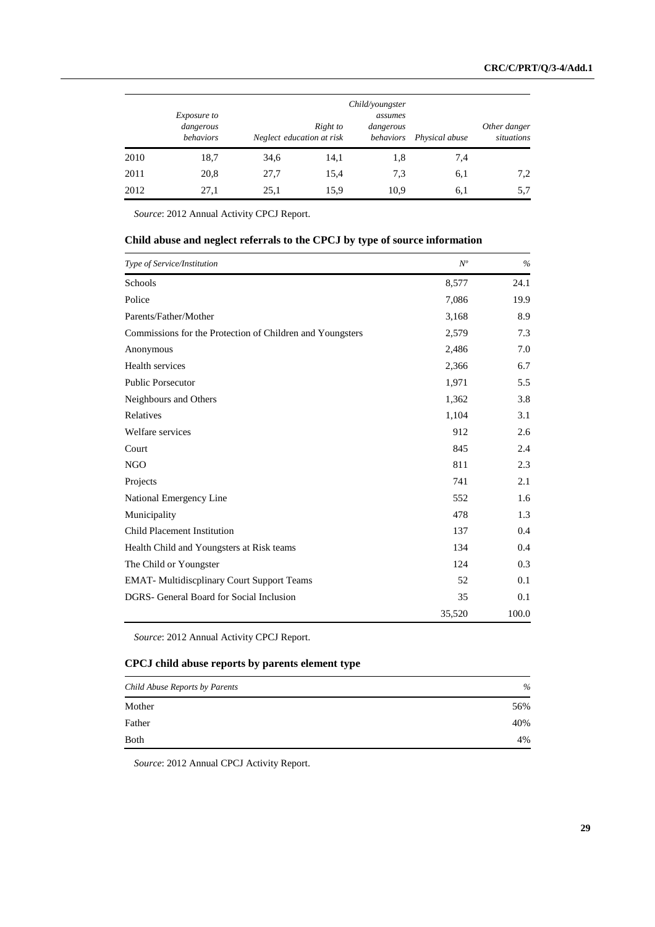|      | <i>Exposure to</i><br>dangerous<br><i>behaviors</i> | Neglect education at risk | Right to | Child/youngster<br>assumes<br>dangerous<br>behaviors | Physical abuse | Other danger<br>situations |
|------|-----------------------------------------------------|---------------------------|----------|------------------------------------------------------|----------------|----------------------------|
| 2010 | 18,7                                                | 34,6                      | 14,1     | 1,8                                                  | 7,4            |                            |
| 2011 | 20,8                                                | 27,7                      | 15,4     | 7.3                                                  | 6,1            | 7,2                        |
| 2012 | 27,1                                                | 25,1                      | 15,9     | 10,9                                                 | 6,1            | 5,7                        |

*Source*: 2012 Annual Activity CPCJ Report.

# **Child abuse and neglect referrals to the CPCJ by type of source information**

| Type of Service/Institution                               | $N^o$  | $\frac{0}{0}$ |
|-----------------------------------------------------------|--------|---------------|
| Schools                                                   | 8,577  | 24.1          |
| Police                                                    | 7,086  | 19.9          |
| Parents/Father/Mother                                     | 3,168  | 8.9           |
| Commissions for the Protection of Children and Youngsters | 2,579  | 7.3           |
| Anonymous                                                 | 2,486  | 7.0           |
| Health services                                           | 2,366  | 6.7           |
| <b>Public Porsecutor</b>                                  | 1,971  | 5.5           |
| Neighbours and Others                                     | 1,362  | 3.8           |
| Relatives                                                 | 1,104  | 3.1           |
| Welfare services                                          | 912    | 2.6           |
| Court                                                     | 845    | 2.4           |
| <b>NGO</b>                                                | 811    | 2.3           |
| Projects                                                  | 741    | 2.1           |
| National Emergency Line                                   | 552    | 1.6           |
| Municipality                                              | 478    | 1.3           |
| <b>Child Placement Institution</b>                        | 137    | 0.4           |
| Health Child and Youngsters at Risk teams                 | 134    | 0.4           |
| The Child or Youngster                                    | 124    | 0.3           |
| <b>EMAT-</b> Multidiscplinary Court Support Teams         | 52     | 0.1           |
| DGRS- General Board for Social Inclusion                  | 35     | 0.1           |
|                                                           | 35,520 | 100.0         |

*Source*: 2012 Annual Activity CPCJ Report.

# **CPCJ child abuse reports by parents element type**

| Child Abuse Reports by Parents | $\%$ |
|--------------------------------|------|
| Mother                         | 56%  |
| Father                         | 40%  |
| <b>Both</b>                    | 4%   |

*Source*: 2012 Annual CPCJ Activity Report.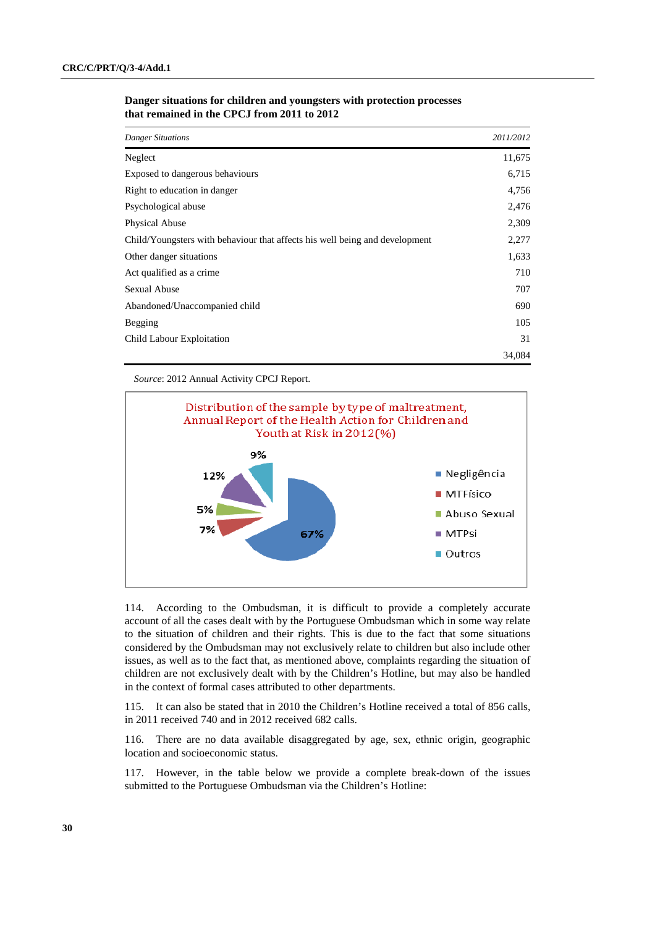| <b>Danger Situations</b>                                                    | 2011/2012 |
|-----------------------------------------------------------------------------|-----------|
| Neglect                                                                     | 11,675    |
| Exposed to dangerous behaviours                                             | 6,715     |
| Right to education in danger                                                | 4,756     |
| Psychological abuse                                                         | 2,476     |
| Physical Abuse                                                              | 2,309     |
| Child/Youngsters with behaviour that affects his well being and development | 2,277     |
| Other danger situations                                                     | 1,633     |
| Act qualified as a crime.                                                   | 710       |
| <b>Sexual Abuse</b>                                                         | 707       |
| Abandoned/Unaccompanied child                                               | 690       |
| Begging                                                                     | 105       |
| Child Labour Exploitation                                                   | 31        |
|                                                                             | 34,084    |

### **Danger situations for children and youngsters with protection processes that remained in the CPCJ from 2011 to 2012**

*Source*: 2012 Annual Activity CPCJ Report.



114. According to the Ombudsman, it is difficult to provide a completely accurate account of all the cases dealt with by the Portuguese Ombudsman which in some way relate to the situation of children and their rights. This is due to the fact that some situations considered by the Ombudsman may not exclusively relate to children but also include other issues, as well as to the fact that, as mentioned above, complaints regarding the situation of children are not exclusively dealt with by the Children's Hotline, but may also be handled in the context of formal cases attributed to other departments.

115. It can also be stated that in 2010 the Children's Hotline received a total of 856 calls, in 2011 received 740 and in 2012 received 682 calls.

116. There are no data available disaggregated by age, sex, ethnic origin, geographic location and socioeconomic status.

117. However, in the table below we provide a complete break-down of the issues submitted to the Portuguese Ombudsman via the Children's Hotline: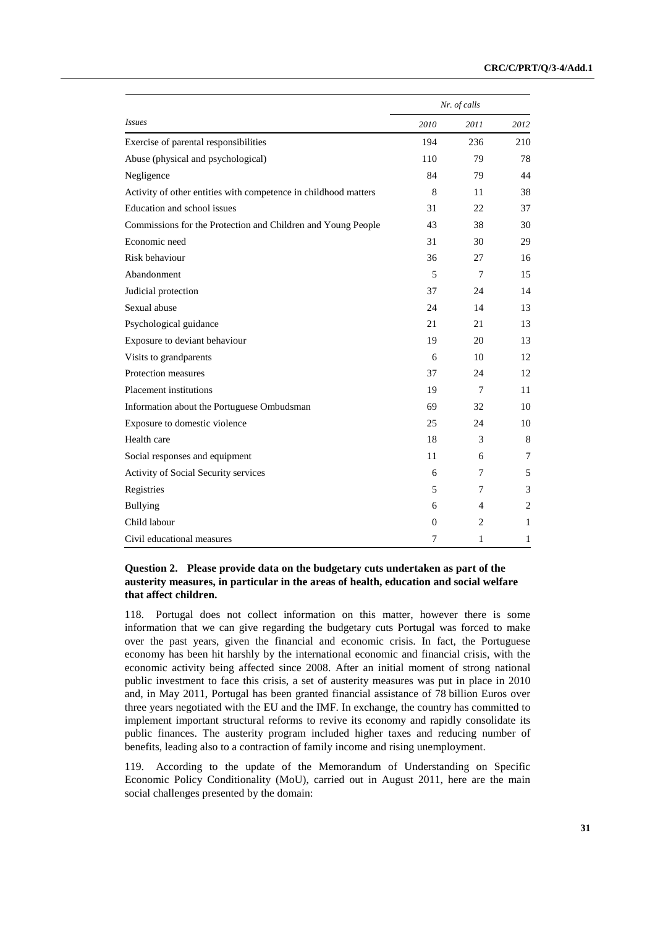|                                                                 |                | Nr. of calls   |                |  |  |
|-----------------------------------------------------------------|----------------|----------------|----------------|--|--|
| <b>Issues</b>                                                   | 2010           | 2011           | 2012           |  |  |
| Exercise of parental responsibilities                           | 194            | 236            | 210            |  |  |
| Abuse (physical and psychological)                              | 110            | 79             | 78             |  |  |
| Negligence                                                      | 84             | 79             | 44             |  |  |
| Activity of other entities with competence in childhood matters | 8              | 11             | 38             |  |  |
| Education and school issues                                     | 31             | 22             | 37             |  |  |
| Commissions for the Protection and Children and Young People    | 43             | 38             | 30             |  |  |
| Economic need                                                   | 31             | 30             | 29             |  |  |
| Risk behaviour                                                  | 36             | 27             | 16             |  |  |
| Abandonment                                                     | 5              | 7              | 15             |  |  |
| Judicial protection                                             | 37             | 24             | 14             |  |  |
| Sexual abuse                                                    | 24             | 14             | 13             |  |  |
| Psychological guidance                                          | 21             | 21             | 13             |  |  |
| Exposure to deviant behaviour                                   | 19             | 20             | 13             |  |  |
| Visits to grandparents                                          | 6              | 10             | 12             |  |  |
| Protection measures                                             | 37             | 24             | 12             |  |  |
| <b>Placement institutions</b>                                   | 19             | 7              | 11             |  |  |
| Information about the Portuguese Ombudsman                      | 69             | 32             | 10             |  |  |
| Exposure to domestic violence                                   | 25             | 24             | 10             |  |  |
| Health care                                                     | 18             | 3              | 8              |  |  |
| Social responses and equipment                                  | 11             | 6              | 7              |  |  |
| Activity of Social Security services                            | 6              | 7              | 5              |  |  |
| Registries                                                      | 5              | 7              | 3              |  |  |
| <b>Bullying</b>                                                 | 6              | 4              | $\overline{c}$ |  |  |
| Child labour                                                    | $\overline{0}$ | $\overline{c}$ | 1              |  |  |
| Civil educational measures                                      | 7              | 1              | 1              |  |  |

## **Question 2. Please provide data on the budgetary cuts undertaken as part of the austerity measures, in particular in the areas of health, education and social welfare that affect children.**

118. Portugal does not collect information on this matter, however there is some information that we can give regarding the budgetary cuts Portugal was forced to make over the past years, given the financial and economic crisis. In fact, the Portuguese economy has been hit harshly by the international economic and financial crisis, with the economic activity being affected since 2008. After an initial moment of strong national public investment to face this crisis, a set of austerity measures was put in place in 2010 and, in May 2011, Portugal has been granted financial assistance of 78 billion Euros over three years negotiated with the EU and the IMF. In exchange, the country has committed to implement important structural reforms to revive its economy and rapidly consolidate its public finances. The austerity program included higher taxes and reducing number of benefits, leading also to a contraction of family income and rising unemployment.

119. According to the update of the Memorandum of Understanding on Specific Economic Policy Conditionality (MoU), carried out in August 2011, here are the main social challenges presented by the domain: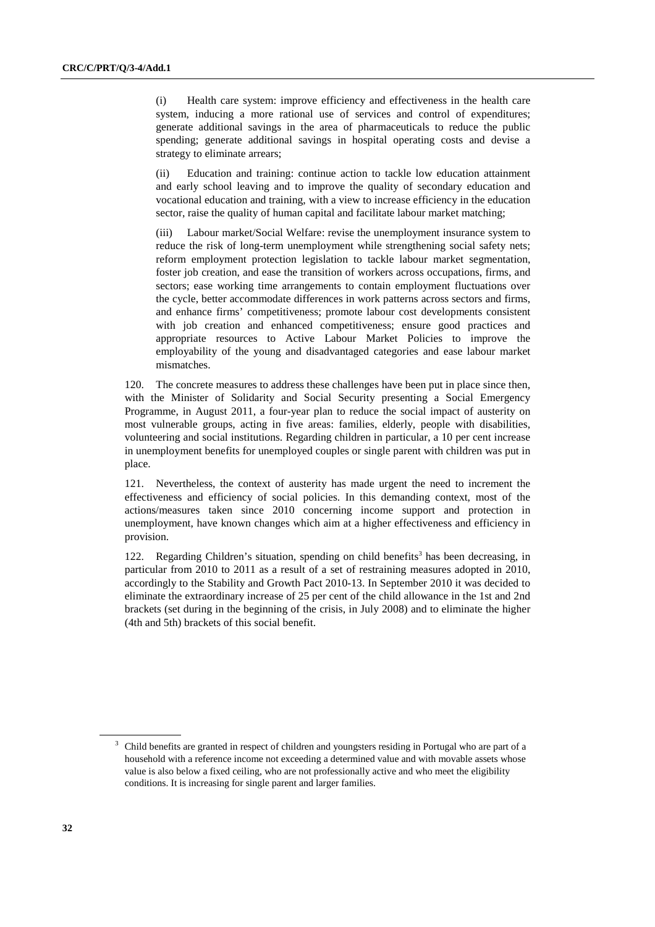(i) Health care system: improve efficiency and effectiveness in the health care system, inducing a more rational use of services and control of expenditures; generate additional savings in the area of pharmaceuticals to reduce the public spending; generate additional savings in hospital operating costs and devise a strategy to eliminate arrears;

(ii) Education and training: continue action to tackle low education attainment and early school leaving and to improve the quality of secondary education and vocational education and training, with a view to increase efficiency in the education sector, raise the quality of human capital and facilitate labour market matching;

(iii) Labour market/Social Welfare: revise the unemployment insurance system to reduce the risk of long-term unemployment while strengthening social safety nets; reform employment protection legislation to tackle labour market segmentation, foster job creation, and ease the transition of workers across occupations, firms, and sectors; ease working time arrangements to contain employment fluctuations over the cycle, better accommodate differences in work patterns across sectors and firms, and enhance firms' competitiveness; promote labour cost developments consistent with job creation and enhanced competitiveness; ensure good practices and appropriate resources to Active Labour Market Policies to improve the employability of the young and disadvantaged categories and ease labour market mismatches.

120. The concrete measures to address these challenges have been put in place since then, with the Minister of Solidarity and Social Security presenting a Social Emergency Programme, in August 2011, a four-year plan to reduce the social impact of austerity on most vulnerable groups, acting in five areas: families, elderly, people with disabilities, volunteering and social institutions. Regarding children in particular, a 10 per cent increase in unemployment benefits for unemployed couples or single parent with children was put in place.

121. Nevertheless, the context of austerity has made urgent the need to increment the effectiveness and efficiency of social policies. In this demanding context, most of the actions/measures taken since 2010 concerning income support and protection in unemployment, have known changes which aim at a higher effectiveness and efficiency in provision.

122. Regarding Children's situation, spending on child benefits<sup>3</sup> has been decreasing, in particular from 2010 to 2011 as a result of a set of restraining measures adopted in 2010, accordingly to the Stability and Growth Pact 2010-13. In September 2010 it was decided to eliminate the extraordinary increase of 25 per cent of the child allowance in the 1st and 2nd brackets (set during in the beginning of the crisis, in July 2008) and to eliminate the higher (4th and 5th) brackets of this social benefit.

<sup>&</sup>lt;sup>3</sup> Child benefits are granted in respect of children and youngsters residing in Portugal who are part of a household with a reference income not exceeding a determined value and with movable assets whose value is also below a fixed ceiling, who are not professionally active and who meet the eligibility conditions. It is increasing for single parent and larger families.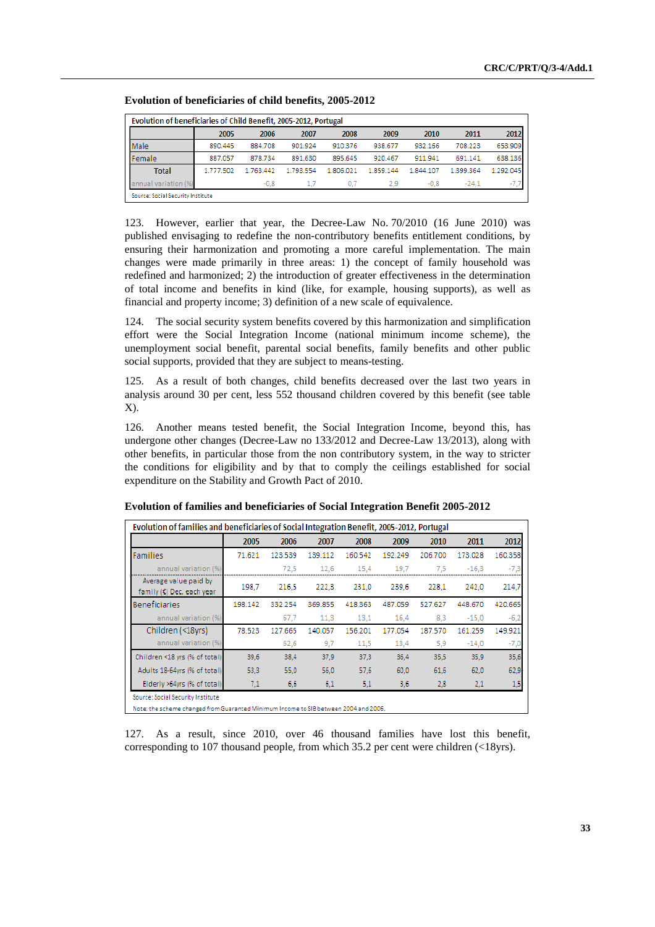| Evolution of beneficiaries of Child Benefit, 2005-2012, Portugal |           |           |           |           |           |           |           |           |  |
|------------------------------------------------------------------|-----------|-----------|-----------|-----------|-----------|-----------|-----------|-----------|--|
|                                                                  | 2005      | 2006      | 2007      | 2008      | 2009      | 2010      | 2011      | 2012      |  |
| Male                                                             | 890.445   | 884.708   | 901.924   | 910.376   | 938.677   | 932.166   | 708.223   | 653.909   |  |
| Female                                                           | 887.057   | 878.734   | 891.630   | 895.645   | 920.467   | 911.941   | 691.141   | 638.136   |  |
| <b>Total</b>                                                     | 1.777.502 | 1.763.442 | 1.793.554 | 1.806.021 | 1.859.144 | 1.844.107 | 1.399.364 | 1.292.045 |  |
| annual variation (%)                                             |           | $-0.8$    |           | 0.7       | 2.9       | $-0.8$    | $-24.1$   | -<br>-15  |  |
| Source: Social Security Institute                                |           |           |           |           |           |           |           |           |  |

 **Evolution of beneficiaries of child benefits, 2005-2012** 

123. However, earlier that year, the Decree-Law No. 70/2010 (16 June 2010) was published envisaging to redefine the non-contributory benefits entitlement conditions, by ensuring their harmonization and promoting a more careful implementation. The main changes were made primarily in three areas: 1) the concept of family household was redefined and harmonized; 2) the introduction of greater effectiveness in the determination of total income and benefits in kind (like, for example, housing supports), as well as financial and property income; 3) definition of a new scale of equivalence.

124. The social security system benefits covered by this harmonization and simplification effort were the Social Integration Income (national minimum income scheme), the unemployment social benefit, parental social benefits, family benefits and other public social supports, provided that they are subject to means-testing.

125. As a result of both changes, child benefits decreased over the last two years in analysis around 30 per cent, less 552 thousand children covered by this benefit (see table  $X$ ).

126. Another means tested benefit, the Social Integration Income, beyond this, has undergone other changes (Decree-Law no 133/2012 and Decree-Law 13/2013), along with other benefits, in particular those from the non contributory system, in the way to stricter the conditions for eligibility and by that to comply the ceilings established for social expenditure on the Stability and Growth Pact of 2010.

|                                                    | 2005    | 2006    | 2007    | 2008    | 2009    | 2010    | 2011    | 2012    |
|----------------------------------------------------|---------|---------|---------|---------|---------|---------|---------|---------|
| <b>Families</b>                                    | 71.621  | 123.539 | 139.112 | 160.542 | 192.249 | 206.700 | 173.028 | 160.358 |
| annual variation (%)                               |         | 72.5    | 12.6    | 15.4    | 19.7    | 7.5     | $-16.3$ | $-7,3$  |
| Average value paid by<br>family (€) Dec. each year | 198.7   | 216.5   | 222,3   | 231,0   | 239.6   | 228,1   | 242.0   | 214,7   |
| <b>Beneficiaries</b>                               | 198.142 | 332.254 | 369.855 | 418.363 | 487.059 | 527.627 | 448,670 | 420.665 |
| annual variation (%)                               |         | 67.7    | 11.3    | 13,1    | 16.4    | 8.3     | $-15.0$ | $-6,2$  |
| Children (<18yrs)                                  | 78.523  | 127.665 | 140.057 | 156.201 | 177.054 | 187.570 | 161.259 | 149.921 |
| annual variation (%)                               |         | 62,6    | 9,7     | 11,5    | 13,4    | 5,9     | $-14,0$ | $-7,0$  |
| Children <18 yrs (% of total)                      | 39,6    | 38.4    | 37,9    | 37.3    | 36.4    | 35.5    | 35,9    | 35,6    |
| Adults 18-64yrs (% of total)                       | 53.3    | 55.0    | 56.0    | 57.6    | 60.0    | 61.6    | 62.0    | 62,9    |
| Elderly >64yrs (% of total)                        | 7,1     | 6,6     | 6,1     | 5,1     | 3,6     | 2,8     | 2,1     | 1,5     |

 **Evolution of families and beneficiaries of Social Integration Benefit 2005-2012** 

127. As a result, since 2010, over 46 thousand families have lost this benefit, corresponding to 107 thousand people, from which 35.2 per cent were children (<18yrs).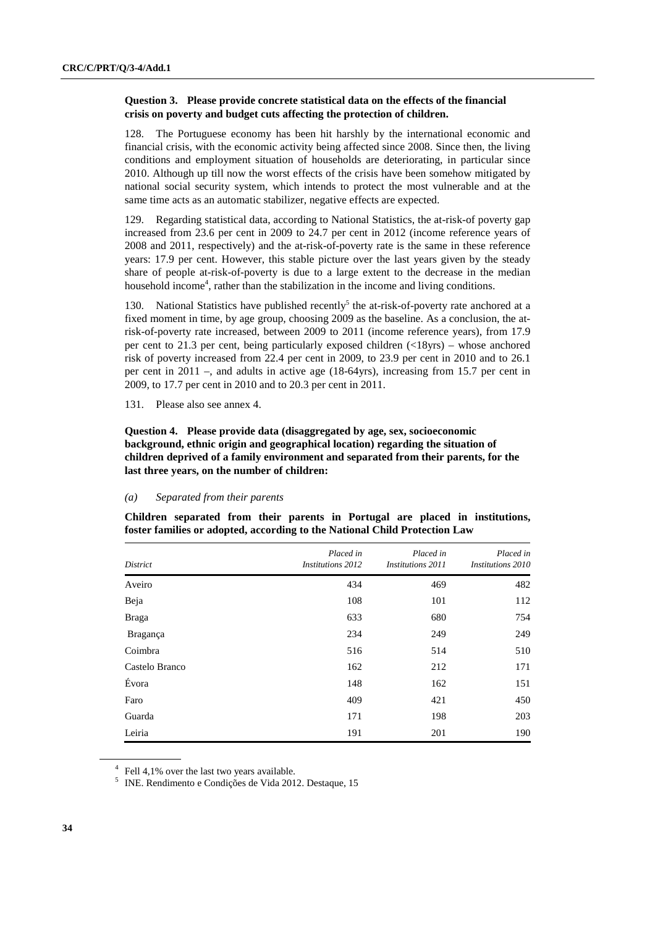## **Question 3. Please provide concrete statistical data on the effects of the financial crisis on poverty and budget cuts affecting the protection of children.**

128. The Portuguese economy has been hit harshly by the international economic and financial crisis, with the economic activity being affected since 2008. Since then, the living conditions and employment situation of households are deteriorating, in particular since 2010. Although up till now the worst effects of the crisis have been somehow mitigated by national social security system, which intends to protect the most vulnerable and at the same time acts as an automatic stabilizer, negative effects are expected.

129. Regarding statistical data, according to National Statistics, the at-risk-of poverty gap increased from 23.6 per cent in 2009 to 24.7 per cent in 2012 (income reference years of 2008 and 2011, respectively) and the at-risk-of-poverty rate is the same in these reference years: 17.9 per cent. However, this stable picture over the last years given by the steady share of people at-risk-of-poverty is due to a large extent to the decrease in the median household income<sup>4</sup>, rather than the stabilization in the income and living conditions.

130. National Statistics have published recently<sup>5</sup> the at-risk-of-poverty rate anchored at a fixed moment in time, by age group, choosing 2009 as the baseline. As a conclusion, the atrisk-of-poverty rate increased, between 2009 to 2011 (income reference years), from 17.9 per cent to 21.3 per cent, being particularly exposed children  $\ll 18$ yrs) – whose anchored risk of poverty increased from 22.4 per cent in 2009, to 23.9 per cent in 2010 and to 26.1 per cent in 2011 –, and adults in active age (18-64yrs), increasing from 15.7 per cent in 2009, to 17.7 per cent in 2010 and to 20.3 per cent in 2011.

131. Please also see annex 4.

 **Question 4. Please provide data (disaggregated by age, sex, socioeconomic background, ethnic origin and geographical location) regarding the situation of children deprived of a family environment and separated from their parents, for the last three years, on the number of children:** 

#### *(a) Separated from their parents*

**Children separated from their parents in Portugal are placed in institutions, foster families or adopted, according to the National Child Protection Law** 

| District       | Placed in<br><i>Institutions 2012</i> | Placed in<br><i>Institutions 2011</i> | Placed in<br>Institutions 2010 |
|----------------|---------------------------------------|---------------------------------------|--------------------------------|
| Aveiro         | 434                                   | 469                                   | 482                            |
| Beja           | 108                                   | 101                                   | 112                            |
| <b>Braga</b>   | 633                                   | 680                                   | 754                            |
| Bragança       | 234                                   | 249                                   | 249                            |
| Coimbra        | 516                                   | 514                                   | 510                            |
| Castelo Branco | 162                                   | 212                                   | 171                            |
| Évora          | 148                                   | 162                                   | 151                            |
| Faro           | 409                                   | 421                                   | 450                            |
| Guarda         | 171                                   | 198                                   | 203                            |
| Leiria         | 191                                   | 201                                   | 190                            |

<sup>&</sup>lt;sup>4</sup> Fell 4,1% over the last two years available.

<sup>5</sup> INE. Rendimento e Condições de Vida 2012. Destaque, 15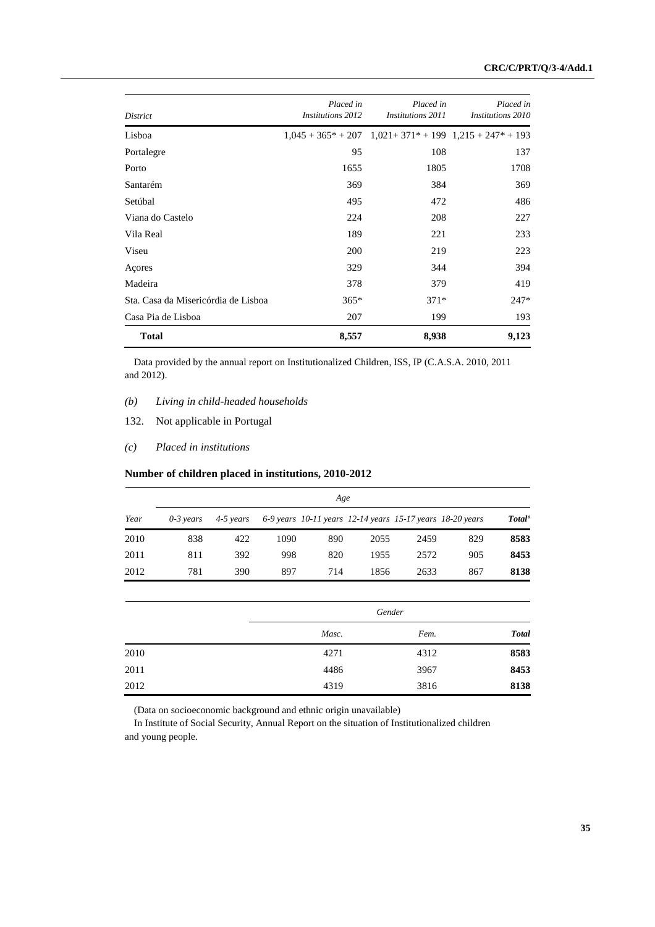| District                            | Placed in<br><b>Institutions 2012</b> | Placed in<br><b>Institutions 2011</b> | Placed in<br>Institutions 2010                                    |
|-------------------------------------|---------------------------------------|---------------------------------------|-------------------------------------------------------------------|
| Lisboa                              |                                       |                                       | $1,045 + 365^* + 207$ $1,021 + 371^* + 199$ $1,215 + 247^* + 193$ |
| Portalegre                          | 95                                    | 108                                   | 137                                                               |
| Porto                               | 1655                                  | 1805                                  | 1708                                                              |
| Santarém                            | 369                                   | 384                                   | 369                                                               |
| Setúbal                             | 495                                   | 472                                   | 486                                                               |
| Viana do Castelo                    | 224                                   | 208                                   | 227                                                               |
| Vila Real                           | 189                                   | 221                                   | 233                                                               |
| Viseu                               | 200                                   | 219                                   | 223                                                               |
| Açores                              | 329                                   | 344                                   | 394                                                               |
| Madeira                             | 378                                   | 379                                   | 419                                                               |
| Sta. Casa da Misericórdia de Lisboa | $365*$                                | $371*$                                | $247*$                                                            |
| Casa Pia de Lisboa                  | 207                                   | 199                                   | 193                                                               |
| <b>Total</b>                        | 8,557                                 | 8,938                                 | 9,123                                                             |

Data provided by the annual report on Institutionalized Children, ISS, IP (C.A.S.A. 2010, 2011 and 2012).

## *(b) Living in child-headed households*

- 132. Not applicable in Portugal
- *(c) Placed in institutions*

# **Number of children placed in institutions, 2010-2012**

|      | Age           |           |      |     |                                                           |      |     |                    |  |  |
|------|---------------|-----------|------|-----|-----------------------------------------------------------|------|-----|--------------------|--|--|
| Year | $0 - 3$ vears | 4-5 years |      |     | 6-9 years 10-11 years 12-14 years 15-17 years 18-20 years |      |     | Total <sup>o</sup> |  |  |
| 2010 | 838           | 422       | 1090 | 890 | 2055                                                      | 2459 | 829 | 8583               |  |  |
| 2011 | 811           | 392       | 998  | 820 | 1955                                                      | 2572 | 905 | 8453               |  |  |
| 2012 | 781           | 390       | 897  | 714 | 1856                                                      | 2633 | 867 | 8138               |  |  |

|      |       | Gender |              |  |  |  |
|------|-------|--------|--------------|--|--|--|
|      | Masc. | Fem.   | <b>Total</b> |  |  |  |
| 2010 | 4271  | 4312   | 8583         |  |  |  |
| 2011 | 4486  | 3967   | 8453         |  |  |  |
| 2012 | 4319  | 3816   | 8138         |  |  |  |

(Data on socioeconomic background and ethnic origin unavailable)

In Institute of Social Security, Annual Report on the situation of Institutionalized children and young people.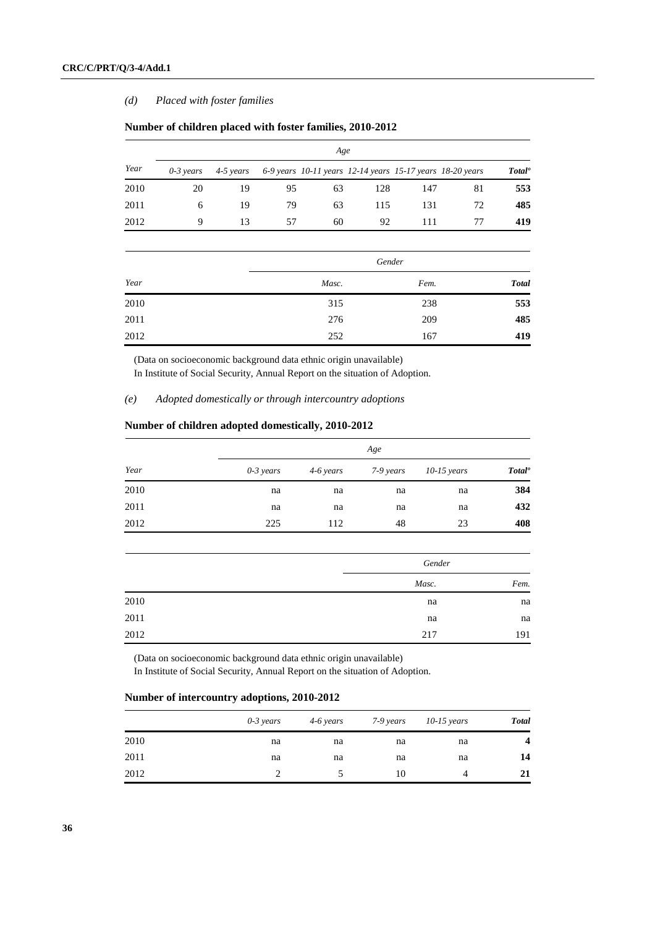## *(d) Placed with foster families*

|      | Age           |           |    |                                                           |     |     |    |                    |  |  |
|------|---------------|-----------|----|-----------------------------------------------------------|-----|-----|----|--------------------|--|--|
| Year | $0 - 3$ years | 4-5 years |    | 6-9 years 10-11 years 12-14 years 15-17 years 18-20 years |     |     |    | Total <sup>o</sup> |  |  |
| 2010 | 20            | 19        | 95 | 63                                                        | 128 | 147 | 81 | 553                |  |  |
| 2011 | 6             | 19        | 79 | 63                                                        | 115 | 131 | 72 | 485                |  |  |
| 2012 | 9             | 13        | 57 | 60                                                        | 92  | 111 |    | 419                |  |  |

## **Number of children placed with foster families, 2010-2012**

|      |       | Gender |              |
|------|-------|--------|--------------|
| Year | Masc. | Fem.   | <b>Total</b> |
| 2010 | 315   | 238    | 553          |
| 2011 | 276   | 209    | 485          |
| 2012 | 252   | 167    | 419          |

(Data on socioeconomic background data ethnic origin unavailable) In Institute of Social Security, Annual Report on the situation of Adoption.

## *(e) Adopted domestically or through intercountry adoptions*

## **Number of children adopted domestically, 2010-2012**

|      |             |           | Age       |               |                    |
|------|-------------|-----------|-----------|---------------|--------------------|
| Year | $0-3$ years | 4-6 years | 7-9 years | $10-15$ years | Total <sup>o</sup> |
| 2010 | na          | na        | na        | na            | 384                |
| 2011 | na          | na        | na        | na            | 432                |
| 2012 | 225         | 112       | 48        | 23            | 408                |

|      |       | Gender |  |  |
|------|-------|--------|--|--|
|      | Masc. | Fem.   |  |  |
| 2010 | na    | na     |  |  |
| 2011 | na    | na     |  |  |
| 2012 | 217   | 191    |  |  |

(Data on socioeconomic background data ethnic origin unavailable) In Institute of Social Security, Annual Report on the situation of Adoption.

# **Number of intercountry adoptions, 2010-2012**

|      | $0-3$ years | 4-6 years | 7-9 years | $10-15$ years | <b>Total</b>     |
|------|-------------|-----------|-----------|---------------|------------------|
| 2010 | na          | na        | na        | na            | $\boldsymbol{4}$ |
| 2011 | na          | na        | na        | na            | 14               |
| 2012 | ∍           |           | 10        | 4             | 21               |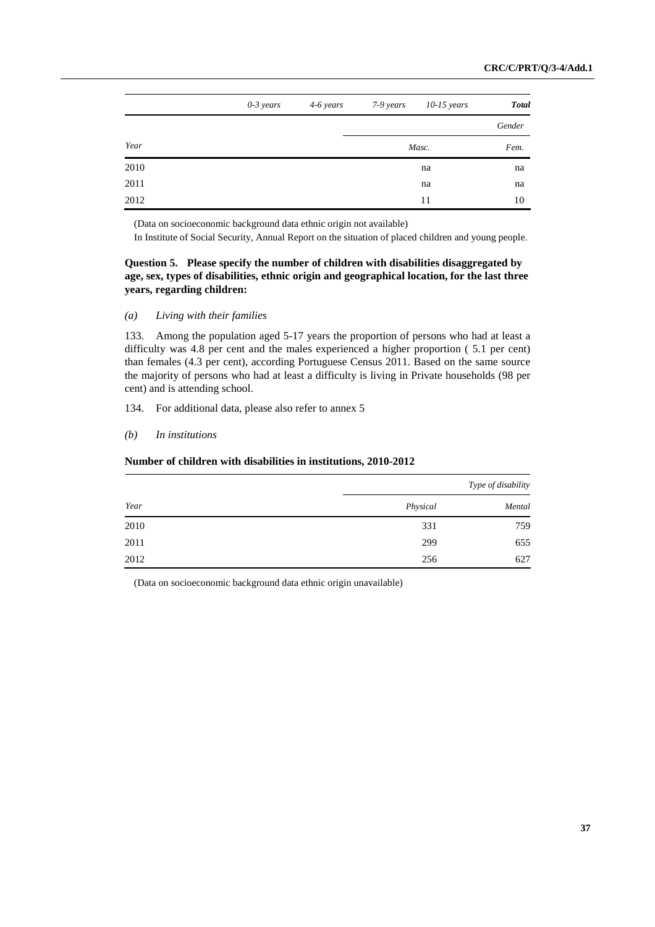|      | $0-3$ years | 4-6 years | 7-9 years | $10-15$ years | <b>Total</b> |
|------|-------------|-----------|-----------|---------------|--------------|
|      |             |           |           |               | Gender       |
| Year |             |           |           | Masc.         | Fem.         |
| 2010 |             |           |           | na            | na           |
| 2011 |             |           |           | na            | na           |
| 2012 |             |           |           | 11            | 10           |

(Data on socioeconomic background data ethnic origin not available)

In Institute of Social Security, Annual Report on the situation of placed children and young people.

# **Question 5. Please specify the number of children with disabilities disaggregated by age, sex, types of disabilities, ethnic origin and geographical location, for the last three years, regarding children:**

## *(a) Living with their families*

133. Among the population aged 5-17 years the proportion of persons who had at least a difficulty was 4.8 per cent and the males experienced a higher proportion ( 5.1 per cent) than females (4.3 per cent), according Portuguese Census 2011. Based on the same source the majority of persons who had at least a difficulty is living in Private households (98 per cent) and is attending school.

134. For additional data, please also refer to annex 5

#### *(b) In institutions*

## **Number of children with disabilities in institutions, 2010-2012**

|      | Type of disability |        |  |  |  |
|------|--------------------|--------|--|--|--|
| Year | Physical           | Mental |  |  |  |
| 2010 | 331                | 759    |  |  |  |
| 2011 | 299                | 655    |  |  |  |
| 2012 | 256                | 627    |  |  |  |

(Data on socioeconomic background data ethnic origin unavailable)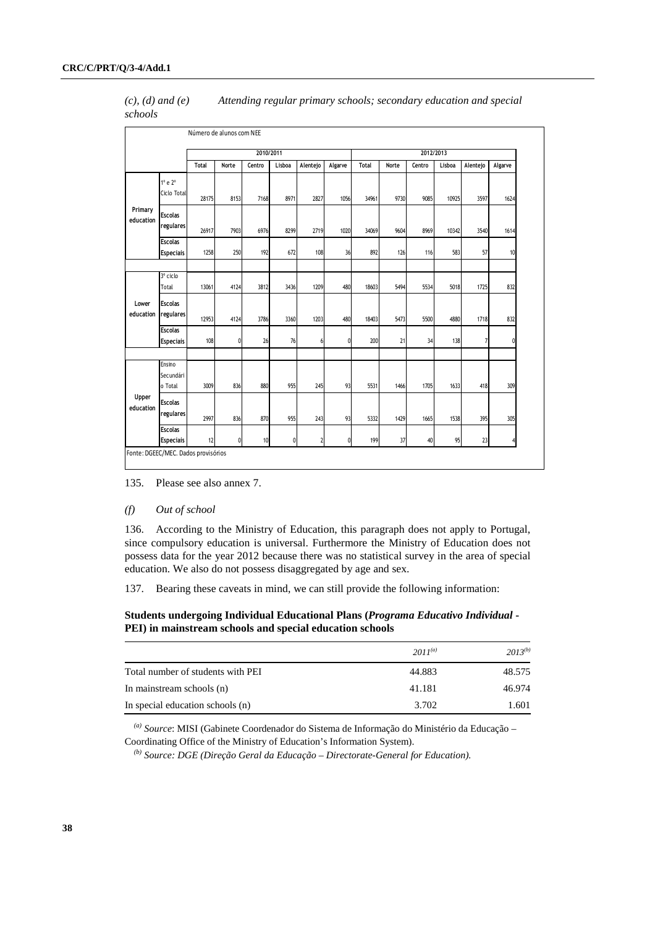| $(c)$ , $(d)$ and $(e)$ | Attending regular primary schools; secondary education and special |
|-------------------------|--------------------------------------------------------------------|
| schools                 |                                                                    |

|                      |                                      |              |       | 2010/2011 |        |          |         | 2012/2013    |       |        |        |                |          |
|----------------------|--------------------------------------|--------------|-------|-----------|--------|----------|---------|--------------|-------|--------|--------|----------------|----------|
|                      |                                      | <b>Total</b> | Norte | Centro    | Lisboa | Alentejo | Algarve | <b>Total</b> | Norte | Centro | Lisboa | Alentejo       | Algarve  |
|                      | $1^\circ$ e $2^\circ$<br>Ciclo Total | 28175        | 8153  | 7168      | 8971   | 2827     | 1056    | 34961        | 9730  | 9085   | 10925  | 3597           | 1624     |
| Primary<br>education | <b>Escolas</b><br>regulares          | 26917        | 7903  | 6976      | 8299   | 2719     | 1020    | 34069        | 9604  | 8969   | 10342  | 3540           | 1614     |
|                      | <b>Escolas</b><br><b>Especiais</b>   | 1258         | 250   | 192       | 672    | 108      | 36      | 892          | 126   | 116    | 583    | 57             | 10       |
|                      | 3º ciclo<br>Total                    | 13061        | 4124  | 3812      | 3436   | 1209     | 480     | 18603        | 5494  | 5534   | 5018   | 1725           | 832      |
| Lower<br>education   | <b>Escolas</b><br>regulares          | 12953        | 4124  | 3786      | 3360   | 1203     | 480     | 18403        | 5473  | 5500   | 4880   | 1718           | 832      |
|                      | <b>Escolas</b><br><b>Especiais</b>   | 108          | 0     | 26        | 76     | 6        | 0       | 200          | 21    | 34     | 138    | $\overline{7}$ | $\theta$ |
|                      | Ensino<br>Secundári<br>o Total       | 3009         | 836   | 880       | 955    | 245      | 93      | 5531         | 1466  | 1705   | 1633   | 418            | 309      |
| Upper<br>education   | <b>Escolas</b><br>regulares          | 2997         | 836   | 870       | 955    | 243      | 93      | 5332         | 1429  | 1665   | 1538   | 395            | 305      |
|                      | <b>Escolas</b><br><b>Especiais</b>   | 12           | 0     | 10        | 0      | 2        | O       | 199          | 37    | 40     | 95     | 23             |          |

135. Please see also annex 7.

#### *(f) Out of school*

136. According to the Ministry of Education, this paragraph does not apply to Portugal, since compulsory education is universal. Furthermore the Ministry of Education does not possess data for the year 2012 because there was no statistical survey in the area of special education. We also do not possess disaggregated by age and sex.

137. Bearing these caveats in mind, we can still provide the following information:

## **Students undergoing Individual Educational Plans (***Programa Educativo Individual* **- PEI) in mainstream schools and special education schools**

|                                   | $2011^{(a)}$ | $2013^{(b)}$ |
|-----------------------------------|--------------|--------------|
| Total number of students with PEI | 44.883       | 48.575       |
| In mainstream schools (n)         | 41.181       | 46.974       |
| In special education schools (n)  | 3.702        | 1.601        |

*(a) Source*: MISI (Gabinete Coordenador do Sistema de Informação do Ministério da Educação – Coordinating Office of the Ministry of Education's Information System).

*(b) Source: DGE (Direção Geral da Educação – Directorate-General for Education).*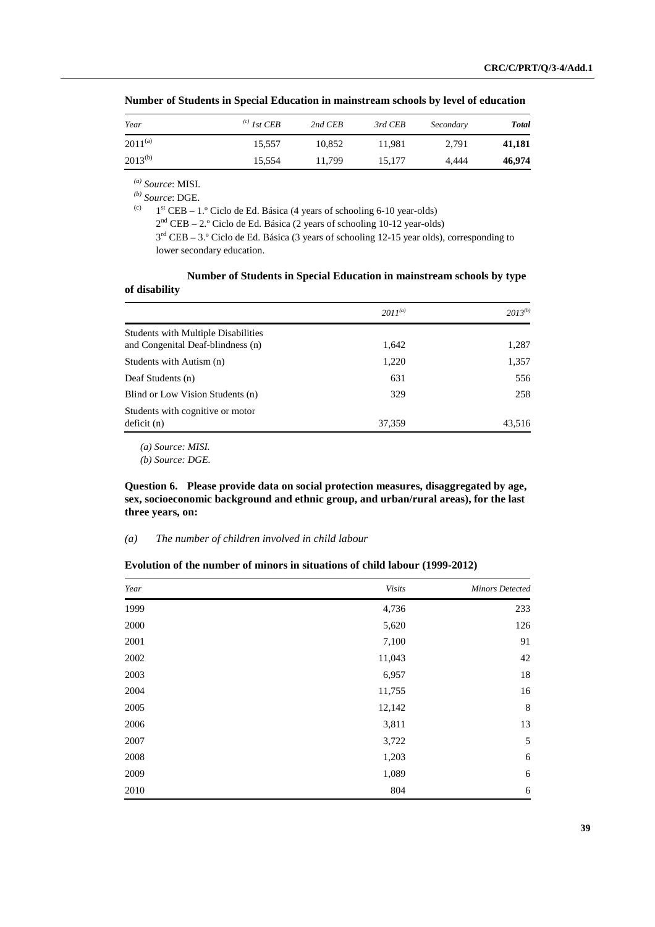| Year         | $^{(c)}$ 1st CEB | 2nd CEB | 3rd CEB | Secondary | <b>Total</b> |
|--------------|------------------|---------|---------|-----------|--------------|
| $2011^{(a)}$ | 15.557           | 10.852  | 11.981  | 2.791     | 41,181       |
| $2013^{(b)}$ | 15,554           | 11.799  | 15,177  | 4.444     | 46,974       |

 **Number of Students in Special Education in mainstream schools by level of education** 

*(a) Source*: MISI.

 $\frac{b}{c}$  *Source*: DGE.

 $1<sup>st</sup> CEB - 1<sup>o</sup> Ciclo de Ed. Básica (4 years of schooling 6-10 year-olds)$ 

 $2<sup>nd</sup> CEB - 2<sup>o</sup> Ciclo de Ed. Básica (2 years of schooling 10-12 year-olds)$ 

 $3<sup>rd</sup> CEB - 3<sup>°</sup>$  Ciclo de Ed. Básica (3 years of schooling 12-15 year olds), corresponding to lower secondary education.

## **Number of Students in Special Education in mainstream schools by type of disability**

|                                                                                 | $2011^{(a)}$ | $2013^{(b)}$ |
|---------------------------------------------------------------------------------|--------------|--------------|
| <b>Students with Multiple Disabilities</b><br>and Congenital Deaf-blindness (n) | 1,642        | 1,287        |
| Students with Autism (n)                                                        | 1,220        | 1,357        |
| Deaf Students (n)                                                               | 631          | 556          |
| Blind or Low Vision Students (n)                                                | 329          | 258          |
| Students with cognitive or motor<br>deficit (n)                                 | 37,359       | 43,516       |

*(a) Source: MISI.* 

*(b) Source: DGE.* 

 **Question 6. Please provide data on social protection measures, disaggregated by age, sex, socioeconomic background and ethnic group, and urban/rural areas), for the last three years, on:** 

## *(a) The number of children involved in child labour*

## **Evolution of the number of minors in situations of child labour (1999-2012)**

| Year | Visits | <b>Minors Detected</b> |
|------|--------|------------------------|
| 1999 | 4,736  | 233                    |
| 2000 | 5,620  | 126                    |
| 2001 | 7,100  | 91                     |
| 2002 | 11,043 | 42                     |
| 2003 | 6,957  | 18                     |
| 2004 | 11,755 | 16                     |
| 2005 | 12,142 | $\,8\,$                |
| 2006 | 3,811  | 13                     |
| 2007 | 3,722  | 5                      |
| 2008 | 1,203  | $\sqrt{6}$             |
| 2009 | 1,089  | 6                      |
| 2010 | 804    | 6                      |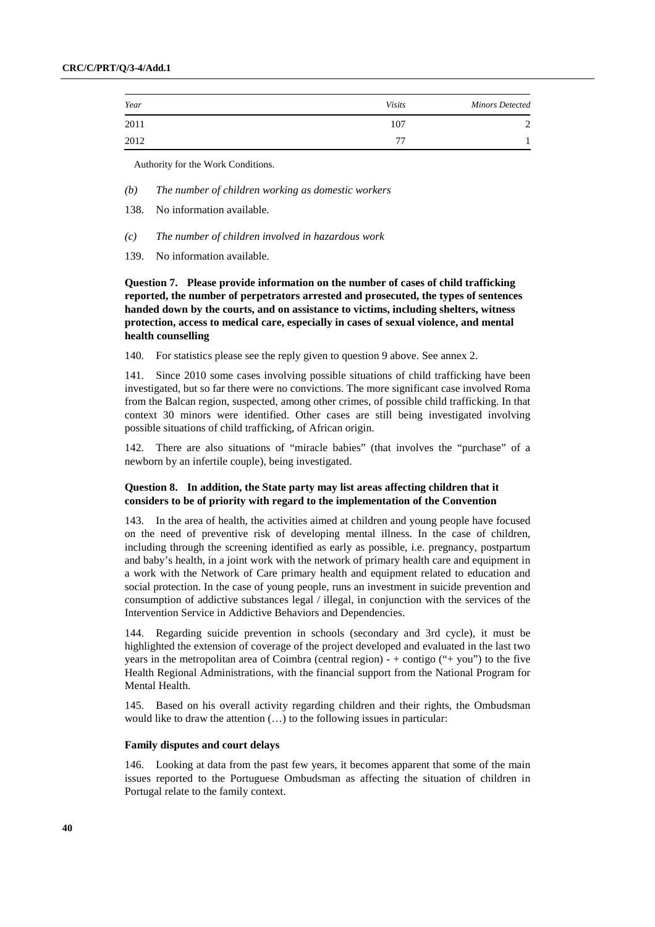| Year | <b>Visits</b> | <b>Minors Detected</b> |
|------|---------------|------------------------|
| 2011 | 107           |                        |
| 2012 | 77            |                        |

Authority for the Work Conditions.

- *(b) The number of children working as domestic workers*
- 138. No information available.
- *(c) The number of children involved in hazardous work*
- 139. No information available.

 **Question 7. Please provide information on the number of cases of child trafficking reported, the number of perpetrators arrested and prosecuted, the types of sentences handed down by the courts, and on assistance to victims, including shelters, witness protection, access to medical care, especially in cases of sexual violence, and mental health counselling** 

140. For statistics please see the reply given to question 9 above. See annex 2.

141. Since 2010 some cases involving possible situations of child trafficking have been investigated, but so far there were no convictions. The more significant case involved Roma from the Balcan region, suspected, among other crimes, of possible child trafficking. In that context 30 minors were identified. Other cases are still being investigated involving possible situations of child trafficking, of African origin.

142. There are also situations of "miracle babies" (that involves the "purchase" of a newborn by an infertile couple), being investigated.

## **Question 8. In addition, the State party may list areas affecting children that it considers to be of priority with regard to the implementation of the Convention**

143. In the area of health, the activities aimed at children and young people have focused on the need of preventive risk of developing mental illness. In the case of children, including through the screening identified as early as possible, i.e. pregnancy, postpartum and baby's health, in a joint work with the network of primary health care and equipment in a work with the Network of Care primary health and equipment related to education and social protection. In the case of young people, runs an investment in suicide prevention and consumption of addictive substances legal / illegal, in conjunction with the services of the Intervention Service in Addictive Behaviors and Dependencies.

144. Regarding suicide prevention in schools (secondary and 3rd cycle), it must be highlighted the extension of coverage of the project developed and evaluated in the last two years in the metropolitan area of Coimbra (central region) -  $+$  contigo (" $+$  you") to the five Health Regional Administrations, with the financial support from the National Program for Mental Health.

145. Based on his overall activity regarding children and their rights, the Ombudsman would like to draw the attention (…) to the following issues in particular:

#### **Family disputes and court delays**

146. Looking at data from the past few years, it becomes apparent that some of the main issues reported to the Portuguese Ombudsman as affecting the situation of children in Portugal relate to the family context.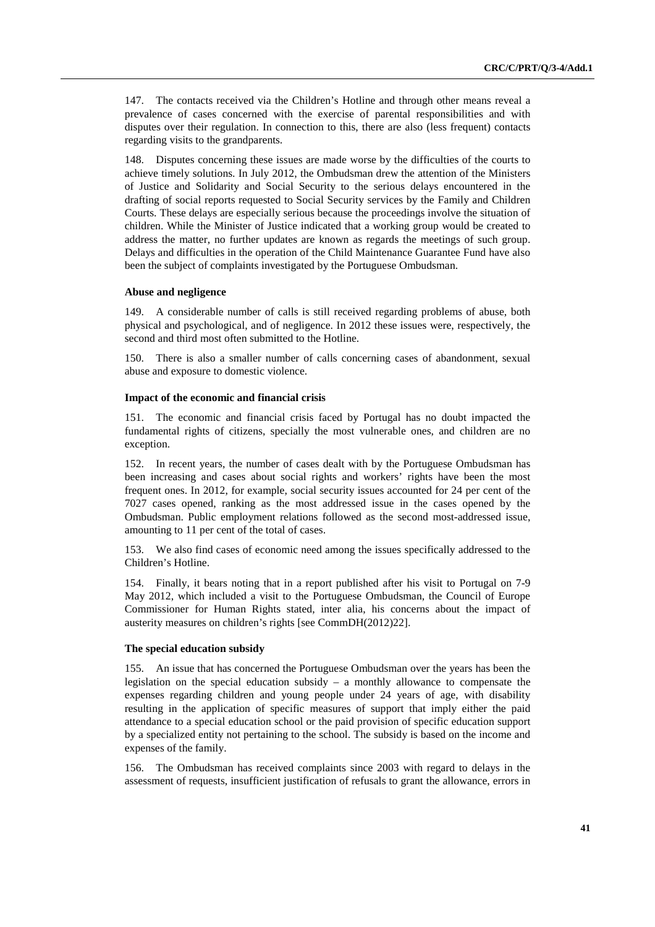147. The contacts received via the Children's Hotline and through other means reveal a prevalence of cases concerned with the exercise of parental responsibilities and with disputes over their regulation. In connection to this, there are also (less frequent) contacts regarding visits to the grandparents.

148. Disputes concerning these issues are made worse by the difficulties of the courts to achieve timely solutions. In July 2012, the Ombudsman drew the attention of the Ministers of Justice and Solidarity and Social Security to the serious delays encountered in the drafting of social reports requested to Social Security services by the Family and Children Courts. These delays are especially serious because the proceedings involve the situation of children. While the Minister of Justice indicated that a working group would be created to address the matter, no further updates are known as regards the meetings of such group. Delays and difficulties in the operation of the Child Maintenance Guarantee Fund have also been the subject of complaints investigated by the Portuguese Ombudsman.

#### **Abuse and negligence**

149. A considerable number of calls is still received regarding problems of abuse, both physical and psychological, and of negligence. In 2012 these issues were, respectively, the second and third most often submitted to the Hotline.

150. There is also a smaller number of calls concerning cases of abandonment, sexual abuse and exposure to domestic violence.

#### **Impact of the economic and financial crisis**

151. The economic and financial crisis faced by Portugal has no doubt impacted the fundamental rights of citizens, specially the most vulnerable ones, and children are no exception.

152. In recent years, the number of cases dealt with by the Portuguese Ombudsman has been increasing and cases about social rights and workers' rights have been the most frequent ones. In 2012, for example, social security issues accounted for 24 per cent of the 7027 cases opened, ranking as the most addressed issue in the cases opened by the Ombudsman. Public employment relations followed as the second most-addressed issue, amounting to 11 per cent of the total of cases.

153. We also find cases of economic need among the issues specifically addressed to the Children's Hotline.

154. Finally, it bears noting that in a report published after his visit to Portugal on 7-9 May 2012, which included a visit to the Portuguese Ombudsman, the Council of Europe Commissioner for Human Rights stated, inter alia, his concerns about the impact of austerity measures on children's rights [see CommDH(2012)22].

## **The special education subsidy**

155. An issue that has concerned the Portuguese Ombudsman over the years has been the legislation on the special education subsidy  $-$  a monthly allowance to compensate the expenses regarding children and young people under 24 years of age, with disability resulting in the application of specific measures of support that imply either the paid attendance to a special education school or the paid provision of specific education support by a specialized entity not pertaining to the school. The subsidy is based on the income and expenses of the family.

156. The Ombudsman has received complaints since 2003 with regard to delays in the assessment of requests, insufficient justification of refusals to grant the allowance, errors in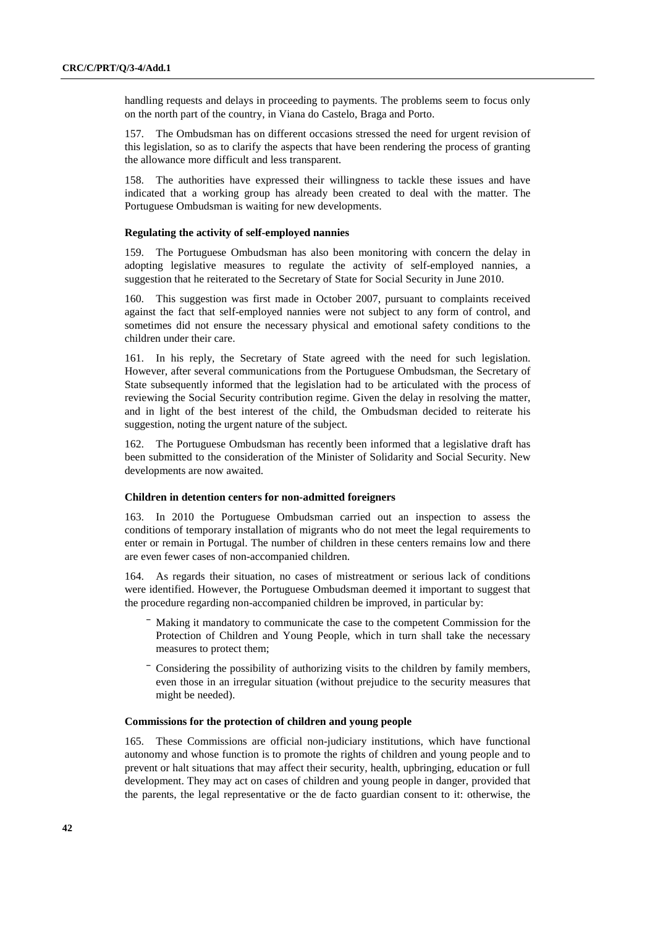handling requests and delays in proceeding to payments. The problems seem to focus only on the north part of the country, in Viana do Castelo, Braga and Porto.

157. The Ombudsman has on different occasions stressed the need for urgent revision of this legislation, so as to clarify the aspects that have been rendering the process of granting the allowance more difficult and less transparent.

158. The authorities have expressed their willingness to tackle these issues and have indicated that a working group has already been created to deal with the matter. The Portuguese Ombudsman is waiting for new developments.

#### **Regulating the activity of self-employed nannies**

159. The Portuguese Ombudsman has also been monitoring with concern the delay in adopting legislative measures to regulate the activity of self-employed nannies, a suggestion that he reiterated to the Secretary of State for Social Security in June 2010.

160. This suggestion was first made in October 2007, pursuant to complaints received against the fact that self-employed nannies were not subject to any form of control, and sometimes did not ensure the necessary physical and emotional safety conditions to the children under their care.

161. In his reply, the Secretary of State agreed with the need for such legislation. However, after several communications from the Portuguese Ombudsman, the Secretary of State subsequently informed that the legislation had to be articulated with the process of reviewing the Social Security contribution regime. Given the delay in resolving the matter, and in light of the best interest of the child, the Ombudsman decided to reiterate his suggestion, noting the urgent nature of the subject.

162. The Portuguese Ombudsman has recently been informed that a legislative draft has been submitted to the consideration of the Minister of Solidarity and Social Security. New developments are now awaited.

#### **Children in detention centers for non-admitted foreigners**

163. In 2010 the Portuguese Ombudsman carried out an inspection to assess the conditions of temporary installation of migrants who do not meet the legal requirements to enter or remain in Portugal. The number of children in these centers remains low and there are even fewer cases of non-accompanied children.

164. As regards their situation, no cases of mistreatment or serious lack of conditions were identified. However, the Portuguese Ombudsman deemed it important to suggest that the procedure regarding non-accompanied children be improved, in particular by:

- ⎯ Making it mandatory to communicate the case to the competent Commission for the Protection of Children and Young People, which in turn shall take the necessary measures to protect them;
- Considering the possibility of authorizing visits to the children by family members, even those in an irregular situation (without prejudice to the security measures that might be needed).

#### **Commissions for the protection of children and young people**

165. These Commissions are official non-judiciary institutions, which have functional autonomy and whose function is to promote the rights of children and young people and to prevent or halt situations that may affect their security, health, upbringing, education or full development. They may act on cases of children and young people in danger, provided that the parents, the legal representative or the de facto guardian consent to it: otherwise, the